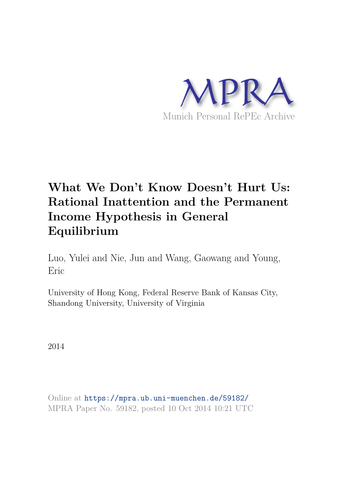

# **What We Don't Know Doesn't Hurt Us: Rational Inattention and the Permanent Income Hypothesis in General Equilibrium**

Luo, Yulei and Nie, Jun and Wang, Gaowang and Young, Eric

University of Hong Kong, Federal Reserve Bank of Kansas City, Shandong University, University of Virginia

2014

Online at https://mpra.ub.uni-muenchen.de/59182/ MPRA Paper No. 59182, posted 10 Oct 2014 10:21 UTC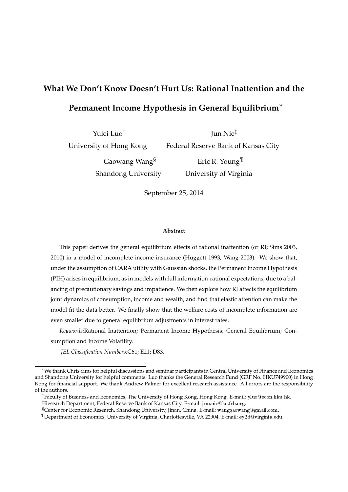## **What We Don't Know Doesn't Hurt Us: Rational Inattention and the Permanent Income Hypothesis in General Equilibrium**∗

Yulei Luo†

Jun Nie‡

University of Hong Kong

Federal Reserve Bank of Kansas City

Gaowang Wang§ Shandong University

Eric R. Young¶ University of Virginia

September 25, 2014

#### **Abstract**

This paper derives the general equilibrium effects of rational inattention (or RI; Sims 2003, 2010) in a model of incomplete income insurance (Huggett 1993, Wang 2003). We show that, under the assumption of CARA utility with Gaussian shocks, the Permanent Income Hypothesis (PIH) arises in equilibrium, as in models with full information-rational expectations, due to a balancing of precautionary savings and impatience. We then explore how RI affects the equilibrium joint dynamics of consumption, income and wealth, and find that elastic attention can make the model fit the data better. We finally show that the welfare costs of incomplete information are even smaller due to general equilibrium adjustments in interest rates.

*Keywords:*Rational Inattention; Permanent Income Hypothesis; General Equilibrium; Consumption and Income Volatility.

*JEL Classification Numbers:*C61; E21; D83.

<sup>∗</sup>We thank Chris Sims for helpful discussions and seminar participants in Central University of Finance and Economics and Shandong University for helpful comments. Luo thanks the General Research Fund (GRF No. HKU749900) in Hong Kong for financial support. We thank Andrew Palmer for excellent research assistance. All errors are the responsibility of the authors.

<sup>&</sup>lt;sup>†</sup>Faculty of Business and Economics, The University of Hong Kong, Hong Kong. E-mail: yluo@econ.hku.hk. <sup>‡</sup>Research Department, Federal Reserve Bank of Kansas City. E-mail: jun.nie@kc.frb.org.

<sup>§</sup>Center for Economic Research, Shandong University, Jinan, China. E-mail: wanggaowang@gmail.com.

<sup>¶</sup>Department of Economics, University of Virginia, Charlottesville, VA 22904. E-mail: ❡②✷❞❅✈✐r❣✐♥✐❛✳❡❞✉.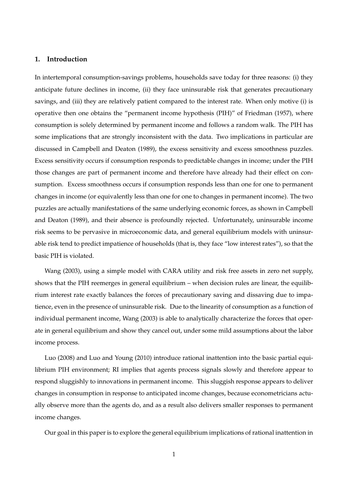## **1. Introduction**

In intertemporal consumption-savings problems, households save today for three reasons: (i) they anticipate future declines in income, (ii) they face uninsurable risk that generates precautionary savings, and (iii) they are relatively patient compared to the interest rate. When only motive (i) is operative then one obtains the "permanent income hypothesis (PIH)" of Friedman (1957), where consumption is solely determined by permanent income and follows a random walk. The PIH has some implications that are strongly inconsistent with the data. Two implications in particular are discussed in Campbell and Deaton (1989), the excess sensitivity and excess smoothness puzzles. Excess sensitivity occurs if consumption responds to predictable changes in income; under the PIH those changes are part of permanent income and therefore have already had their effect on consumption. Excess smoothness occurs if consumption responds less than one for one to permanent changes in income (or equivalently less than one for one to changes in permanent income). The two puzzles are actually manifestations of the same underlying economic forces, as shown in Campbell and Deaton (1989), and their absence is profoundly rejected. Unfortunately, uninsurable income risk seems to be pervasive in microeconomic data, and general equilibrium models with uninsurable risk tend to predict impatience of households (that is, they face "low interest rates"), so that the basic PIH is violated.

Wang (2003), using a simple model with CARA utility and risk free assets in zero net supply, shows that the PIH reemerges in general equilibrium – when decision rules are linear, the equilibrium interest rate exactly balances the forces of precautionary saving and dissaving due to impatience, even in the presence of uninsurable risk. Due to the linearity of consumption as a function of individual permanent income, Wang (2003) is able to analytically characterize the forces that operate in general equilibrium and show they cancel out, under some mild assumptions about the labor income process.

Luo (2008) and Luo and Young (2010) introduce rational inattention into the basic partial equilibrium PIH environment; RI implies that agents process signals slowly and therefore appear to respond sluggishly to innovations in permanent income. This sluggish response appears to deliver changes in consumption in response to anticipated income changes, because econometricians actually observe more than the agents do, and as a result also delivers smaller responses to permanent income changes.

Our goal in this paper is to explore the general equilibrium implications of rational inattention in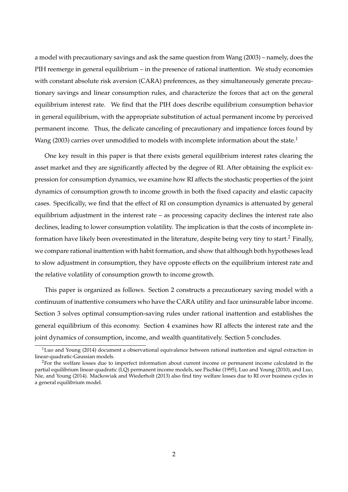a model with precautionary savings and ask the same question from Wang (2003) – namely, does the PIH reemerge in general equilibrium – in the presence of rational inattention. We study economies with constant absolute risk aversion (CARA) preferences, as they simultaneously generate precautionary savings and linear consumption rules, and characterize the forces that act on the general equilibrium interest rate. We find that the PIH does describe equilibrium consumption behavior in general equilibrium, with the appropriate substitution of actual permanent income by perceived permanent income. Thus, the delicate canceling of precautionary and impatience forces found by Wang (2003) carries over unmodified to models with incomplete information about the state.<sup>1</sup>

One key result in this paper is that there exists general equilibrium interest rates clearing the asset market and they are significantly affected by the degree of RI. After obtaining the explicit expression for consumption dynamics, we examine how RI affects the stochastic properties of the joint dynamics of consumption growth to income growth in both the fixed capacity and elastic capacity cases. Specifically, we find that the effect of RI on consumption dynamics is attenuated by general equilibrium adjustment in the interest rate – as processing capacity declines the interest rate also declines, leading to lower consumption volatility. The implication is that the costs of incomplete information have likely been overestimated in the literature, despite being very tiny to start.<sup>2</sup> Finally, we compare rational inattention with habit formation, and show that although both hypotheses lead to slow adjustment in consumption, they have opposte effects on the equilibrium interest rate and the relative volatility of consumption growth to income growth.

This paper is organized as follows. Section 2 constructs a precautionary saving model with a continuum of inattentive consumers who have the CARA utility and face uninsurable labor income. Section 3 solves optimal consumption-saving rules under rational inattention and establishes the general equilibrium of this economy. Section 4 examines how RI affects the interest rate and the joint dynamics of consumption, income, and wealth quantitatively. Section 5 concludes.

 $1$ Luo and Young (2014) document a observational equivalence between rational inattention and signal extraction in linear-quadratic-Gaussian models.

<sup>&</sup>lt;sup>2</sup>For the welfare losses due to imperfect information about current income or permanent income calculated in the partial equilibrium linear-quadratic (LQ) permanent income models, see Pischke (1995), Luo and Young (2010), and Luo, Nie, and Young (2014). Ma´ckowiak and Wiederholt (2013) also find tiny welfare losses due to RI over business cycles in a general equilibrium model.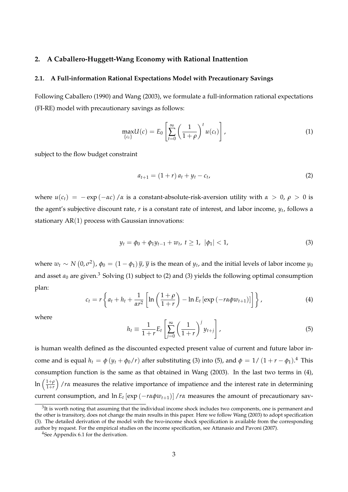## **2. A Caballero-Huggett-Wang Economy with Rational Inattention**

## **2.1. A Full-information Rational Expectations Model with Precautionary Savings**

Following Caballero (1990) and Wang (2003), we formulate a full-information rational expectations (FI-RE) model with precautionary savings as follows:

$$
\max_{\{c_t\}} U(c) = E_0 \left[ \sum_{t=0}^{\infty} \left( \frac{1}{1+\rho} \right)^t u(c_t) \right],
$$
 (1)

subject to the flow budget constraint

$$
a_{t+1} = (1+r) a_t + y_t - c_t,
$$
\n(2)

where  $u(c_t) = -e^{i\alpha t}$  / $\alpha$  is a constant-absolute-risk-aversion utility with  $\alpha > 0$ ,  $\rho > 0$  is the agent's subjective discount rate, *r* is a constant rate of interest, and labor income, *y<sup>t</sup>* , follows a stationary  $AR(1)$  process with Gaussian innovations:

$$
y_t = \phi_0 + \phi_1 y_{t-1} + w_t, \ t \ge 1, \ |\phi_1| < 1,\tag{3}
$$

where  $w_t \sim N(0, \sigma^2)$ ,  $\phi_0 = (1 - \phi_1) \bar{y}$ ,  $\bar{y}$  is the mean of  $y_t$ , and the initial levels of labor income  $y_0$ and asset  $a_0$  are given.<sup>3</sup> Solving (1) subject to (2) and (3) yields the following optimal consumption plan:

$$
c_t = r \left\{ a_t + h_t + \frac{1}{\alpha r^2} \left[ \ln \left( \frac{1+\rho}{1+r} \right) - \ln E_t \left[ \exp \left( -r \alpha \phi w_{t+1} \right) \right] \right] \right\},\tag{4}
$$

where

$$
h_t \equiv \frac{1}{1+r} E_t \left[ \sum_{j=0}^{\infty} \left( \frac{1}{1+r} \right)^j y_{t+j} \right], \tag{5}
$$

is human wealth defined as the discounted expected present value of current and future labor income and is equal  $h_t = \phi(y_t + \phi_0/r)$  after substituting (3) into (5), and  $\phi = 1/(1 + r - \phi_1)^{4}$  This consumption function is the same as that obtained in Wang (2003). In the last two terms in (4), ln  $\left(\frac{1+\rho}{1+r}\right)$ 1+*r* /*rα* measures the relative importance of impatience and the interest rate in determining current consumption, and  $\ln E_t [\exp(-r\alpha\phi w_{t+1})] / r\alpha$  measures the amount of precautionary sav-

 $3$ It is worth noting that assuming that the individual income shock includes two components, one is permanent and the other is transitory, does not change the main results in this paper. Here we follow Wang (2003) to adopt specification (3). The detailed derivation of the model with the two-income shock specification is available from the corresponding author by request. For the empirical studies on the income specification, see Attanasio and Pavoni (2007).

<sup>4</sup>See Appendix 6.1 for the derivation.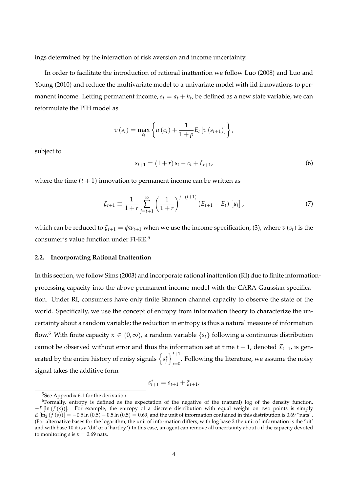ings determined by the interaction of risk aversion and income uncertainty.

In order to facilitate the introduction of rational inattention we follow Luo (2008) and Luo and Young (2010) and reduce the multivariate model to a univariate model with iid innovations to permanent income. Letting permanent income,  $s_t = a_t + h_t$ , be defined as a new state variable, we can reformulate the PIH model as

$$
v(s_{t}) = \max_{c_{t}} \left\{ u(c_{t}) + \frac{1}{1+\rho} E_{t} [v(s_{t+1})] \right\},\,
$$

subject to

$$
s_{t+1} = (1+r) s_t - c_t + \zeta_{t+1}, \tag{6}
$$

where the time  $(t + 1)$  innovation to permanent income can be written as

$$
\zeta_{t+1} \equiv \frac{1}{1+r} \sum_{j=t+1}^{\infty} \left( \frac{1}{1+r} \right)^{j-(t+1)} (E_{t+1} - E_t) [y_j], \qquad (7)
$$

which can be reduced to  $\zeta_{t+1} = \phi w_{t+1}$  when we use the income specification, (3), where  $v(s_t)$  is the consumer's value function under FI-RE.<sup>5</sup>

## **2.2. Incorporating Rational Inattention**

In this section, we follow Sims (2003) and incorporate rational inattention (RI) due to finite informationprocessing capacity into the above permanent income model with the CARA-Gaussian specification. Under RI, consumers have only finite Shannon channel capacity to observe the state of the world. Specifically, we use the concept of entropy from information theory to characterize the uncertainty about a random variable; the reduction in entropy is thus a natural measure of information flow.<sup>6</sup> With finite capacity  $\kappa \in (0,\infty)$ , a random variable  $\{s_t\}$  following a continuous distribution cannot be observed without error and thus the information set at time  $t + 1$ , denoted  $\mathcal{I}_{t+1}$ , is generated by the entire history of noisy signals  $\left\{s^*_j\right\}$  $\iota^{t+1}$ . Following the literature, we assume the noisy  $j=0$ signal takes the additive form

$$
s_{t+1}^* = s_{t+1} + \xi_{t+1},
$$

<sup>5</sup>See Appendix 6.1 for the derivation.

<sup>&</sup>lt;sup>6</sup>Formally, entropy is defined as the expectation of the negative of the (natural) log of the density function, −*E* [ln (*f* (*s*))]. For example, the entropy of a discrete distribution with equal weight on two points is simply  $E[\ln_2(f(s))] = -0.5 \ln(0.5) - 0.5 \ln(0.5) = 0.69$ , and the unit of information contained in this distribution is 0.69 "nats". (For alternative bases for the logarithm, the unit of information differs; with log base 2 the unit of information is the 'bit' and with base 10 it is a 'dit' or a 'hartley.') In this case, an agent can remove all uncertainty about *s* if the capacity devoted to monitoring *s* is  $\kappa = 0.69$  nats.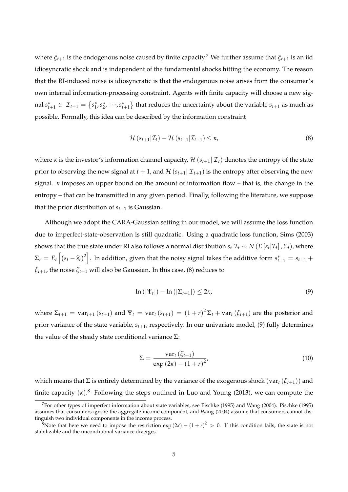where *ξt*+<sup>1</sup> is the endogenous noise caused by finite capacity.<sup>7</sup> We further assume that *ξt*+<sup>1</sup> is an iid idiosyncratic shock and is independent of the fundamental shocks hitting the economy. The reason that the RI-induced noise is idiosyncratic is that the endogenous noise arises from the consumer's own internal information-processing constraint. Agents with finite capacity will choose a new signal  $s_{t+1}^* \in \mathcal{I}_{t+1} = \{s_1^*, s_2^*, \dots, s_{t+1}^*\}$  that reduces the uncertainty about the variable  $s_{t+1}$  as much as possible. Formally, this idea can be described by the information constraint

$$
\mathcal{H}\left(s_{t+1}|\mathcal{I}_t\right) - \mathcal{H}\left(s_{t+1}|\mathcal{I}_{t+1}\right) \leq \kappa,\tag{8}
$$

where *κ* is the investor's information channel capacity,  $H(s_{t+1} | \mathcal{I}_t)$  denotes the entropy of the state prior to observing the new signal at  $t + 1$ , and  $\mathcal{H}(s_{t+1} | \mathcal{I}_{t+1})$  is the entropy after observing the new signal. *κ* imposes an upper bound on the amount of information flow – that is, the change in the entropy – that can be transmitted in any given period. Finally, following the literature, we suppose that the prior distribution of  $s_{t+1}$  is Gaussian.

Although we adopt the CARA-Gaussian setting in our model, we will assume the loss function due to imperfect-state-observation is still quadratic. Using a quadratic loss function, Sims (2003) shows that the true state under RI also follows a normal distribution  $s_t|\mathcal{I}_t \sim N(E[s_t|\mathcal{I}_t],\Sigma_t)$ , where  $\Sigma_t = E_t \left[ (s_t - \widehat{s}_t)^2 \right]$ . In addition, given that the noisy signal takes the additive form  $s_{t+1}^* = s_{t+1} +$ *ξt*+1, the noise *ξt*+<sup>1</sup> will also be Gaussian. In this case, (8) reduces to

$$
\ln\left(|\Psi_t|\right) - \ln\left(|\Sigma_{t+1}|\right) \leq 2\kappa,\tag{9}
$$

where  $\Sigma_{t+1} = \text{var}_{t+1} (s_{t+1})$  and  $\Psi_t = \text{var}_t (s_{t+1}) = (1+r)^2 \Sigma_t + \text{var}_t (\zeta_{t+1})$  are the posterior and prior variance of the state variable, *st*+1, respectively. In our univariate model, (9) fully determines the value of the steady state conditional variance Σ:

$$
\Sigma = \frac{\text{var}_t(\zeta_{t+1})}{\exp(2\kappa) - (1+r)^2},\tag{10}
$$

which means that  $\Sigma$  is entirely determined by the variance of the exogenous shock (var<sub>t</sub> ( $\zeta$ <sub>t+1</sub>)) and finite capacity (*κ*). <sup>8</sup> Following the steps outlined in Luo and Young (2013), we can compute the

<sup>7</sup>For other types of imperfect information about state variables, see Pischke (1995) and Wang (2004). Pischke (1995) assumes that consumers ignore the aggregate income component, and Wang (2004) assume that consumers cannot distinguish two individual components in the income process.

<sup>&</sup>lt;sup>8</sup>Note that here we need to impose the restriction  $\exp(2\kappa) - (1 + r)^2 > 0$ . If this condition fails, the state is not stabilizable and the unconditional variance diverges.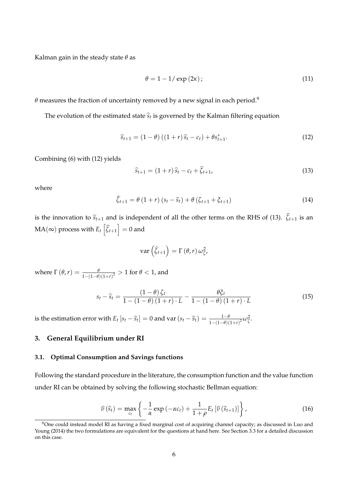Kalman gain in the steady state *θ* as

$$
\theta = 1 - 1/\exp(2\kappa); \tag{11}
$$

*θ* measures the fraction of uncertainty removed by a new signal in each period.<sup>9</sup>

The evolution of the estimated state  $\widehat{s}_t$  is governed by the Kalman filtering equation

$$
\widehat{s}_{t+1} = (1 - \theta) ((1 + r) \widehat{s}_t - c_t) + \theta s_{t+1}^*.
$$
 (12)

Combining (6) with (12) yields

$$
\widehat{s}_{t+1} = (1+r)\widehat{s}_t - c_t + \widehat{\zeta}_{t+1},\tag{13}
$$

where

$$
\widehat{\zeta}_{t+1} = \theta \left(1+r\right) \left(s_t - \widehat{s}_t\right) + \theta \left(\zeta_{t+1} + \zeta_{t+1}\right) \tag{14}
$$

is the innovation to  $\hat{s}_{t+1}$  and is independent of all the other terms on the RHS of (13).  $\hat{\zeta}_{t+1}$  is an  $\mathrm{MA}(\infty)$  process with  $E_t\left[ \widehat{\zeta}_{t+1} \right] = 0$  and

$$
\text{var}\left(\widehat{\zeta}_{t+1}\right)=\Gamma\left(\theta,r\right)\omega_{\zeta}^{2},
$$

where  $\Gamma\left(\theta,r\right) = \frac{\theta}{1-(1-\theta)(1+r)^2} > 1$  for  $\theta < 1$ , and

$$
s_t - \widehat{s}_t = \frac{\left(1 - \theta\right)\zeta_t}{1 - \left(1 - \theta\right)\left(1 + r\right) \cdot L} - \frac{\theta \zeta_t}{1 - \left(1 - \theta\right)\left(1 + r\right) \cdot L} \tag{15}
$$

is the estimation error with  $E_t [s_t - \widehat{s}_t] = 0$  and  $var(s_t - \widehat{s}_t) = \frac{1-\theta}{1-(1-\theta)(1+r)^2} \omega_{\zeta}^2$ .

## **3. General Equilibrium under RI**

## **3.1. Optimal Consumption and Savings functions**

Following the standard procedure in the literature, the consumption function and the value function under RI can be obtained by solving the following stochastic Bellman equation:

$$
\widehat{v}(\widehat{s}_t) = \max_{c_t} \left\{ -\frac{1}{\alpha} \exp\left(-\alpha c_t\right) + \frac{1}{1+\rho} E_t \left[\widehat{v}\left(\widehat{s}_{t+1}\right)\right] \right\},\tag{16}
$$

<sup>&</sup>lt;sup>9</sup>One could instead model RI as having a fixed marginal cost of acquiring channel capacity; as discussed in Luo and Young (2014) the two formulations are equivalent for the questions at hand here. See Section 3.3 for a detailed discussion on this case.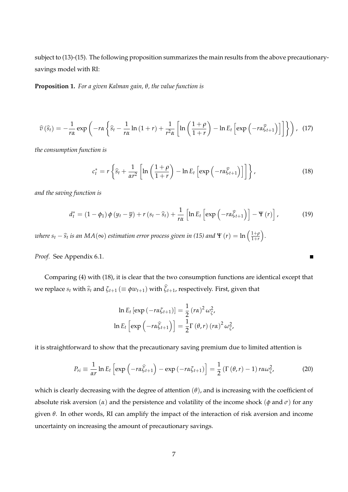subject to (13)-(15). The following proposition summarizes the main results from the above precautionarysavings model with RI:

**Proposition 1.** *For a given Kalman gain, θ, the value function is*

$$
\widehat{v}(\widehat{s}_t) = -\frac{1}{r\alpha} \exp\left(-r\alpha \left\{\widehat{s}_t - \frac{1}{r\alpha} \ln\left(1+r\right) + \frac{1}{r^2\alpha} \left[\ln\left(\frac{1+\rho}{1+r}\right) - \ln E_t \left[\exp\left(-r\alpha \widehat{\zeta}_{t+1}\right)\right]\right]\right\}\right), (17)
$$

*the consumption function is*

$$
c_t^* = r \left\{ \widehat{s}_t + \frac{1}{\alpha r^2} \left[ \ln \left( \frac{1+\rho}{1+r} \right) - \ln E_t \left[ \exp \left( -r \alpha \widehat{\zeta}_{t+1} \right) \right] \right] \right\},
$$
(18)

 $\blacksquare$ 

*and the saving function is*

$$
d_{t}^{*} = (1 - \phi_{1}) \phi \left(y_{t} - \overline{y}\right) + r\left(s_{t} - \widehat{s}_{t}\right) + \frac{1}{r\alpha} \left[\ln E_{t} \left[\exp\left(-r\alpha \widehat{\zeta}_{t+1}\right)\right] - \Psi\left(r\right)\right],\tag{19}
$$

*where s*<sub>t</sub> −  $\widehat{s}_t$  *is an MA*(∞) *estimation error process given in* (15) *and*  $\Psi$  (*r*) = ln  $\left(\frac{1+\rho}{1+r}\right)$ 1+*r .*

*Proof.* See Appendix 6.1.

Comparing (4) with (18), it is clear that the two consumption functions are identical except that we replace  $s_t$  with  $\hat{s}_t$  and  $\zeta_{t+1}$  ( $\equiv \phi w_{t+1}$ ) with  $\hat{\zeta}_{t+1}$ , respectively. First, given that

$$
\ln E_t \left[ \exp \left( -r \alpha \zeta_{t+1} \right) \right] = \frac{1}{2} \left( r \alpha \right)^2 \omega_{\zeta}^2,
$$
  

$$
\ln E_t \left[ \exp \left( -r \alpha \widehat{\zeta}_{t+1} \right) \right] = \frac{1}{2} \Gamma \left( \theta, r \right) \left( r \alpha \right)^2 \omega_{\zeta}^2,
$$

it is straightforward to show that the precautionary saving premium due to limited attention is

$$
P_{ri} \equiv \frac{1}{\alpha r} \ln E_t \left[ \exp \left( -r \alpha \widehat{\zeta}_{t+1} \right) - \exp \left( -r \alpha \zeta_{t+1} \right) \right] = \frac{1}{2} \left( \Gamma \left( \theta, r \right) - 1 \right) r \alpha \omega_{\zeta}^2, \tag{20}
$$

which is clearly decreasing with the degree of attention  $(\theta)$ , and is increasing with the coefficient of absolute risk aversion  $(\alpha)$  and the persistence and volatility of the income shock  $(\phi \text{ and } \sigma)$  for any given *θ*. In other words, RI can amplify the impact of the interaction of risk aversion and income uncertainty on increasing the amount of precautionary savings.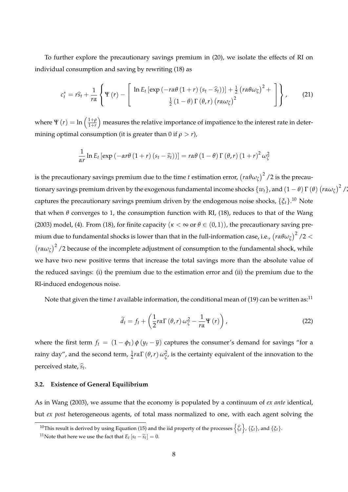To further explore the precautionary savings premium in (20), we isolate the effects of RI on individual consumption and saving by rewriting (18) as

$$
c_t^* = r\hat{s}_t + \frac{1}{r\alpha} \left\{ \Psi(r) - \left[ \frac{\ln E_t \left[ \exp\left( -r\alpha\theta \left(1+r\right) \left(s_t - \hat{s}_t\right) \right) \right] + \frac{1}{2} \left( r\alpha\theta\omega_\zeta \right)^2 + \cdots \right\} \right\},\qquad(21)
$$

where  $\Psi(r) = \ln \left( \frac{1+\rho}{1+r} \right)$ 1+*r* measures the relative importance of impatience to the interest rate in determining optimal consumption (it is greater than 0 if  $\rho > r$ ),

$$
\frac{1}{\alpha r}\ln E_t\left[\exp\left(-\alpha r\theta\left(1+r\right)\left(s_t-\widehat{s}_t\right)\right)\right]=r\alpha\theta\left(1-\theta\right)\Gamma\left(\theta,r\right)\left(1+r\right)^2\omega_{\zeta}^2
$$

is the precautionary savings premium due to the time  $t$  estimation error,  $\left(r\alpha\theta\omega_\zeta\right)^2$  /2 is the precautionary savings premium driven by the exogenous fundamental income shocks  $\{w_t\}$ , and  $(1-\theta) \Gamma(\theta) \left(r\alpha\omega_\zeta\right)^2/2$ captures the precautionary savings premium driven by the endogenous noise shocks, {*ξt*}. <sup>10</sup> Note that when  $\theta$  converges to 1, the consumption function with RI, (18), reduces to that of the Wang (2003) model, (4). From (18), for finite capacity ( $\kappa < \infty$  or  $\theta \in (0,1)$ ), the precautionary saving premium due to fundamental shocks is lower than that in the full-information case, i.e.,  $\left(r\alpha\theta\omega_\zeta\right)^2$  /2  $<$  $(r \alpha \omega_{\zeta})^2$  /2 because of the incomplete adjustment of consumption to the fundamental shock, while we have two new positive terms that increase the total savings more than the absolute value of the reduced savings: (i) the premium due to the estimation error and (ii) the premium due to the RI-induced endogenous noise.

Note that given the time *t* available information, the conditional mean of (19) can be written as:<sup>11</sup>

$$
\widetilde{d}_{t} = f_{t} + \left(\frac{1}{2}r\alpha\Gamma\left(\theta,r\right)\omega_{\zeta}^{2} - \frac{1}{r\alpha}\Psi\left(r\right)\right),\tag{22}
$$

where the first term  $f_t = (1 - \phi_1) \phi(y_t - \overline{y})$  captures the consumer's demand for savings "for a *rainy day",* and the second term,  $\frac{1}{2}$ *rα*Γ (*θ, r*)  $\omega_{\zeta}^2$ , is the certainty equivalent of the innovation to the perceived state*,*  $\widehat{s}_t$ .

## **3.2. Existence of General Equilibrium**

As in Wang (2003), we assume that the economy is populated by a continuum of *ex ante* identical, but *ex post* heterogeneous agents, of total mass normalized to one, with each agent solving the

<sup>&</sup>lt;sup>10</sup>This result is derived by using Equation (15) and the iid property of the processes  $\left\{\widehat{\zeta}_t\right\}$ ,  $\{\zeta_t\}$ , and  $\{\xi_t\}$ .

<sup>&</sup>lt;sup>11</sup>Note that here we use the fact that  $E_t [s_t - \hat{s}_t] = 0$ .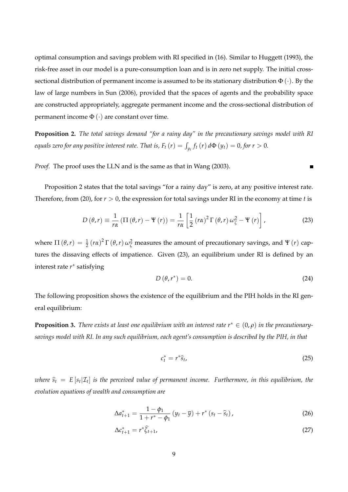optimal consumption and savings problem with RI specified in (16). Similar to Huggett (1993), the risk-free asset in our model is a pure-consumption loan and is in zero net supply. The initial crosssectional distribution of permanent income is assumed to be its stationary distribution  $\Phi(\cdot)$ . By the law of large numbers in Sun (2006), provided that the spaces of agents and the probability space are constructed appropriately, aggregate permanent income and the cross-sectional distribution of permanent income  $\Phi(\cdot)$  are constant over time.

**Proposition 2.** *The total savings demand "for a rainy day" in the precautionary savings model with RI equals zero for any positive interest rate. That is,*  $F_t(r) = \int_{y_t} f_t(r) d\Phi(y_t) = 0$ *, for*  $r > 0$ *.* 

*Proof.* The proof uses the LLN and is the same as that in Wang (2003).

Proposition 2 states that the total savings "for a rainy day" is zero, at any positive interest rate. Therefore, from (20), for *r* > 0, the expression for total savings under RI in the economy at time *t* is

$$
D(\theta, r) \equiv \frac{1}{r\alpha} \left( \Pi(\theta, r) - \Psi(r) \right) = \frac{1}{r\alpha} \left[ \frac{1}{2} \left( r\alpha \right)^2 \Gamma(\theta, r) \omega_{\zeta}^2 - \Psi(r) \right],
$$
 (23)

where  $\Pi(\theta,r) = \frac{1}{2}(r\alpha)^2 \Gamma(\theta,r) \omega_{\zeta}^2$  measures the amount of precautionary savings, and  $\Psi(r)$  captures the dissaving effects of impatience. Given (23), an equilibrium under RI is defined by an interest rate *r* ∗ satisfying

$$
D(\theta, r^*) = 0. \tag{24}
$$

 $\blacksquare$ 

The following proposition shows the existence of the equilibrium and the PIH holds in the RI general equilibrium:

**Proposition 3.** *There exists at least one equilibrium with an interest rate*  $r^* \in (0,\rho)$  *in the precautionarysavings model with RI. In any such equilibrium, each agent's consumption is described by the PIH, in that*

$$
c_t^* = r^* \hat{s}_t, \tag{25}
$$

 $\hat{s}_t = E\left[s_t|\mathcal{I}_t\right]$  is the perceived value of permanent income. Furthermore, in this equilibrium, the *evolution equations of wealth and consumption are*

$$
\Delta a_{t+1}^* = \frac{1 - \phi_1}{1 + r^* - \phi_1} \left( y_t - \overline{y} \right) + r^* \left( s_t - \widehat{s}_t \right), \tag{26}
$$

$$
\Delta c_{t+1}^* = r^* \widehat{\zeta}_{t+1},\tag{27}
$$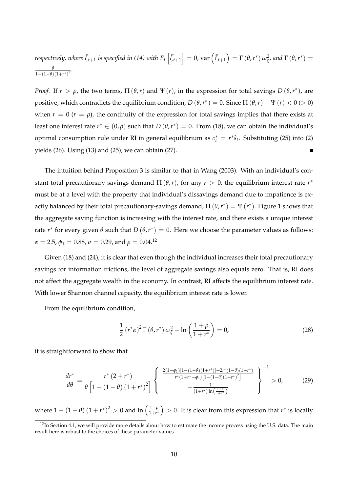respectively, where 
$$
\hat{\zeta}_{t+1}
$$
 is specified in (14) with  $E_t \left[ \hat{\zeta}_{t+1} \right] = 0$ ,  $\text{var} \left( \hat{\zeta}_{t+1} \right) = \Gamma \left( \theta, r^* \right) \omega_{\zeta}^2$ , and  $\Gamma \left( \theta, r^* \right) = \frac{\theta}{1 - (1 - \theta)(1 + r^*)^2}$ .

*Proof.* If  $r > \rho$ , the two terms,  $\Pi(\theta, r)$  and  $\Psi(r)$ , in the expression for total savings  $D(\theta, r^*)$ , are positive, which contradicts the equilibrium condition,  $D(\theta, r^*) = 0$ . Since  $\Pi(\theta, r) - \Psi(r) < 0$  (> 0) when  $r = 0$  ( $r = \rho$ ), the continuity of the expression for total savings implies that there exists at least one interest rate  $r^* \in (0,\rho)$  such that  $D(\theta,r^*) = 0$ . From (18), we can obtain the individual's optimal consumption rule under RI in general equilibrium as  $c_t^* = r^* \widehat{s}_t$ . Substituting (25) into (2) yields (26). Using (13) and (25), we can obtain (27). Ē

The intuition behind Proposition 3 is similar to that in Wang (2003). With an individual's constant total precautionary savings demand  $\Pi(\theta, r)$ , for any  $r > 0$ , the equilibrium interest rate  $r^*$ must be at a level with the property that individual's dissavings demand due to impatience is exactly balanced by their total precautionary-savings demand,  $\Pi(\theta, r^*) = \Psi(r^*)$ . Figure 1 shows that the aggregate saving function is increasing with the interest rate, and there exists a unique interest rate  $r^*$  for every given θ such that  $D(\theta, r^*) = 0$ . Here we choose the parameter values as follows:  $\alpha = 2.5$ ,  $\phi_1 = 0.88$ ,  $\sigma = 0.29$ , and  $\rho = 0.04$ .<sup>12</sup>

Given (18) and (24), it is clear that even though the individual increases their total precautionary savings for information frictions, the level of aggregate savings also equals zero. That is, RI does not affect the aggregate wealth in the economy. In contrast, RI affects the equilibrium interest rate. With lower Shannon channel capacity, the equilibrium interest rate is lower.

From the equilibrium condition,

$$
\frac{1}{2}\left(r^*\alpha\right)^2\Gamma\left(\theta,r^*\right)\omega_{\zeta}^2-\ln\left(\frac{1+\rho}{1+r^*}\right)=0,\tag{28}
$$

it is straightforward to show that

$$
\frac{dr^*}{d\theta} = \frac{r^* (2+r^*)}{\theta \left[1 - (1-\theta) (1+r^*)^2\right]} \left\{ \begin{array}{c} \frac{2(1-\phi_1)[1-(1-\theta)(1+r^*)]+2r^*(1-\theta)(1+r^*)}{r^*(1+r^*-\phi_1)\left[1-(1-\theta)(1+r^*)^2\right]} \\ + \frac{1}{(1+r^*)\ln\left(\frac{1+\rho}{1+r^*}\right)} \end{array} \right\}^{-1} > 0,
$$
\n(29)

where  $1 - (1 - \theta) (1 + r^*)^2 > 0$  and  $\ln \left( \frac{1 + \rho}{1 + r^*} \right)$ 1+*r* ∗  $\big) > 0$ . It is clear from this expression that *r*<sup>\*</sup> is locally

 $12$ In Section 4.1, we will provide more details about how to estimate the income process using the U.S. data. The main result here is robust to the choices of these parameter values.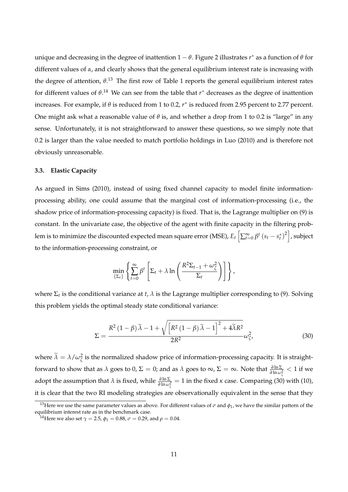unique and decreasing in the degree of inattention 1 − *θ*. Figure 2 illustrates *r* ∗ as a function of *θ* for different values of *α*, and clearly shows that the general equilibrium interest rate is increasing with the degree of attention,  $\theta$ .<sup>13</sup> The first row of Table 1 reports the general equilibrium interest rates for different values of *θ*. <sup>14</sup> We can see from the table that *r* ∗ decreases as the degree of inattention increases. For example, if *θ* is reduced from 1 to 0.2, *r* ∗ is reduced from 2.95 percent to 2.77 percent. One might ask what a reasonable value of *θ* is, and whether a drop from 1 to 0.2 is "large" in any sense. Unfortunately, it is not straightforward to answer these questions, so we simply note that 0.2 is larger than the value needed to match portfolio holdings in Luo (2010) and is therefore not obviously unreasonable.

## **3.3. Elastic Capacity**

As argued in Sims (2010), instead of using fixed channel capacity to model finite informationprocessing ability, one could assume that the marginal cost of information-processing (i.e., the shadow price of information-processing capacity) is fixed. That is, the Lagrange multiplier on (9) is constant. In the univariate case, the objective of the agent with finite capacity in the filtering problem is to minimize the discounted expected mean square error (MSE),  $E_t\left[\sum_{t=0}^\infty \beta^t\left(s_t-s^*_t\right)^2\right]$ , subject to the information-processing constraint, or

$$
\min_{\{\Sigma_t\}} \left\{ \sum_{t=0}^{\infty} \beta^t \left[ \Sigma_t + \lambda \ln \left( \frac{R^2 \Sigma_{t-1} + \omega_{\zeta}^2}{\Sigma_t} \right) \right] \right\},\
$$

where  $\Sigma_t$  is the conditional variance at *t*,  $\lambda$  is the Lagrange multiplier corresponding to (9). Solving this problem yields the optimal steady state conditional variance:

$$
\Sigma = \frac{R^2 (1 - \beta) \tilde{\lambda} - 1 + \sqrt{\left[R^2 (1 - \beta) \tilde{\lambda} - 1\right]^2 + 4 \tilde{\lambda} R^2}}{2R^2} \omega_{\zeta}^2,
$$
(30)

where  $\lambda = \lambda/\omega_{\zeta}^2$  is the normalized shadow price of information-processing capacity. It is straightforward to show that as  $\lambda$  goes to 0,  $\Sigma = 0$ ; and as  $\lambda$  goes to  $\infty$ ,  $\Sigma = \infty$ . Note that  $\frac{\partial \ln \Sigma}{\partial \ln \omega_{\zeta}^2} < 1$  if we adopt the assumption that  $\lambda$  is fixed, while  $\frac{\partial \ln \Sigma}{\partial \ln \omega_{\zeta}^2} = 1$  in the fixed  $\kappa$  case. Comparing (30) with (10), it is clear that the two RI modeling strategies are observationally equivalent in the sense that they

<sup>&</sup>lt;sup>13</sup>Here we use the same parameter values as above. For different values of  $\sigma$  and  $\phi_1$ , we have the similar pattern of the equilibrium interest rate as in the benchmark case.

 $^{14}$ Here we also set  $\gamma=2.5$ ,  $\phi_1=0.88$ ,  $\sigma=0.29$ , and  $\rho=0.04.$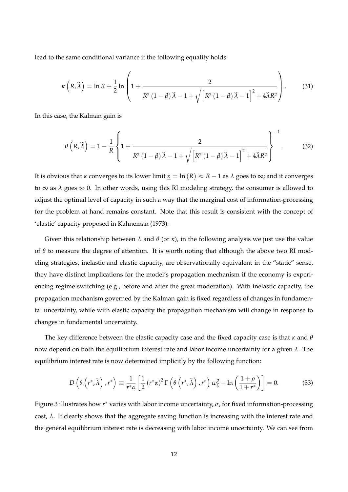lead to the same conditional variance if the following equality holds:

$$
\kappa\left(R,\widetilde{\lambda}\right) = \ln R + \frac{1}{2}\ln\left(1 + \frac{2}{R^2\left(1-\beta\right)\widetilde{\lambda}-1 + \sqrt{\left[R^2\left(1-\beta\right)\widetilde{\lambda}-1\right]^2 + 4\widetilde{\lambda}R^2}}\right). \tag{31}
$$

In this case, the Kalman gain is

$$
\theta\left(R,\widetilde{\lambda}\right) = 1 - \frac{1}{R} \left\{ 1 + \frac{2}{R^2 \left(1 - \beta\right) \widetilde{\lambda} - 1 + \sqrt{\left[R^2 \left(1 - \beta\right) \widetilde{\lambda} - 1\right]^2 + 4 \widetilde{\lambda} R^2}} \right\}^{-1}.
$$
 (32)

It is obvious that *κ* converges to its lower limit  $\kappa = \ln(R) \approx R - 1$  as  $\lambda$  goes to  $\infty$ ; and it converges to ∞ as *λ* goes to 0. In other words, using this RI modeling strategy, the consumer is allowed to adjust the optimal level of capacity in such a way that the marginal cost of information-processing for the problem at hand remains constant. Note that this result is consistent with the concept of 'elastic' capacity proposed in Kahneman (1973).

Given this relationship between  $\lambda$  and  $\theta$  (or  $\kappa$ ), in the following analysis we just use the value of  $\theta$  to measure the degree of attention. It is worth noting that although the above two RI modeling strategies, inelastic and elastic capacity, are observationally equivalent in the "static" sense, they have distinct implications for the model's propagation mechanism if the economy is experiencing regime switching (e.g., before and after the great moderation). With inelastic capacity, the propagation mechanism governed by the Kalman gain is fixed regardless of changes in fundamental uncertainty, while with elastic capacity the propagation mechanism will change in response to changes in fundamental uncertainty.

The key difference between the elastic capacity case and the fixed capacity case is that *κ* and *θ* now depend on both the equilibrium interest rate and labor income uncertainty for a given *λ*. The equilibrium interest rate is now determined implicitly by the following function:

$$
D\left(\theta\left(r^*,\tilde{\lambda}\right),r^*\right) \equiv \frac{1}{r^*\alpha} \left[\frac{1}{2}\left(r^*\alpha\right)^2 \Gamma\left(\theta\left(r^*,\tilde{\lambda}\right),r^*\right) \omega_{\zeta}^2 - \ln\left(\frac{1+\rho}{1+r^*}\right)\right] = 0. \tag{33}
$$

Figure 3 illustrates how *r* ∗ varies with labor income uncertainty, *σ*, for fixed information-processing cost, *λ*. It clearly shows that the aggregate saving function is increasing with the interest rate and the general equilibrium interest rate is decreasing with labor income uncertainty. We can see from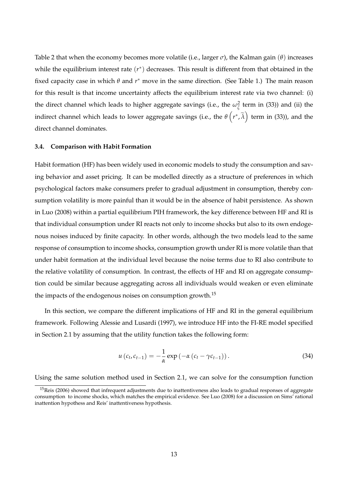Table 2 that when the economy becomes more volatile (i.e., larger *σ*), the Kalman gain (*θ*) increases while the equilibrium interest rate (*r* ∗ ) decreases. This result is different from that obtained in the fixed capacity case in which *θ* and *r* ∗ move in the same direction. (See Table 1.) The main reason for this result is that income uncertainty affects the equilibrium interest rate via two channel: (i) the direct channel which leads to higher aggregate savings (i.e., the  $\omega_{\zeta}^2$  term in (33)) and (ii) the indirect channel which leads to lower aggregate savings (i.e., the  $\theta\left(r^*,\widetilde\lambda\right)$  term in (33)), and the direct channel dominates.

## **3.4. Comparison with Habit Formation**

Habit formation (HF) has been widely used in economic models to study the consumption and saving behavior and asset pricing. It can be modelled directly as a structure of preferences in which psychological factors make consumers prefer to gradual adjustment in consumption, thereby consumption volatility is more painful than it would be in the absence of habit persistence. As shown in Luo (2008) within a partial equilibrium PIH framework, the key difference between HF and RI is that individual consumption under RI reacts not only to income shocks but also to its own endogenous noises induced by finite capacity. In other words, although the two models lead to the same response of consumption to income shocks, consumption growth under RI is more volatile than that under habit formation at the individual level because the noise terms due to RI also contribute to the relative volatility of consumption. In contrast, the effects of HF and RI on aggregate consumption could be similar because aggregating across all individuals would weaken or even eliminate the impacts of the endogenous noises on consumption growth.<sup>15</sup>

In this section, we compare the different implications of HF and RI in the general equilibrium framework. Following Alessie and Lusardi (1997), we introduce HF into the FI-RE model specified in Section 2.1 by assuming that the utility function takes the following form:

$$
u\left(c_{t}, c_{t-1}\right) = -\frac{1}{\alpha} \exp\left(-\alpha\left(c_{t} - \gamma c_{t-1}\right)\right). \tag{34}
$$

Using the same solution method used in Section 2.1, we can solve for the consumption function

<sup>&</sup>lt;sup>15</sup>Reis (2006) showed that infrequent adjustments due to inattentiveness also leads to gradual responses of aggregate consumption to income shocks, which matches the empirical evidence. See Luo (2008) for a discussion on Sims' rational inattention hypothess and Reis' inattentiveness hypothesis.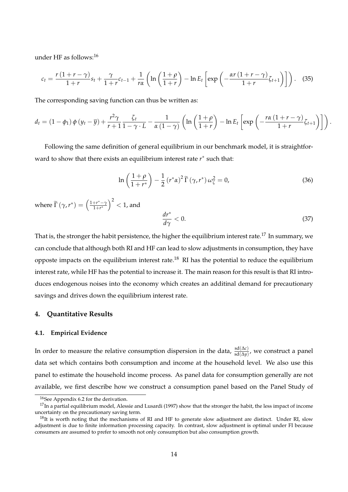under HF as follows:<sup>16</sup>

$$
c_t = \frac{r(1+r-\gamma)}{1+r} s_t + \frac{\gamma}{1+r} c_{t-1} + \frac{1}{r\alpha} \left( \ln \left( \frac{1+\rho}{1+r} \right) - \ln E_t \left[ \exp \left( -\frac{\alpha r (1+r-\gamma)}{1+r} \zeta_{t+1} \right) \right] \right). \tag{35}
$$

The corresponding saving function can thus be written as:

$$
d_{t} = (1 - \phi_{1}) \phi (y_{t} - \overline{y}) + \frac{r^{2} \gamma}{r + 1} \frac{\zeta_{t}}{1 - \gamma \cdot L} - \frac{1}{\alpha (1 - \gamma)} \left( \ln \left( \frac{1 + \rho}{1 + r} \right) - \ln E_{t} \left[ \exp \left( - \frac{r \alpha (1 + r - \gamma)}{1 + r} \zeta_{t+1} \right) \right] \right).
$$

Following the same definition of general equilibrium in our benchmark model, it is straightforward to show that there exists an equilibrium interest rate *r* ∗ such that:

$$
\ln\left(\frac{1+\rho}{1+r^*}\right) - \frac{1}{2}\left(r^*\alpha\right)^2 \widetilde{\Gamma}\left(\gamma,r^*\right)\omega_{\zeta}^2 = 0,\tag{36}
$$

where  $\widetilde{\Gamma}(\gamma, r^*) = \left(\frac{1+r^*-\gamma}{1+r^*}\right)$  $\big)^2 < 1$ , and

$$
\frac{dr^*}{d\gamma} < 0. \tag{37}
$$

That is, the stronger the habit persistence, the higher the equilibrium interest rate.<sup>17</sup> In summary, we can conclude that although both RI and HF can lead to slow adjustments in consumption, they have opposte impacts on the equilibrium interest rate.<sup>18</sup> RI has the potential to reduce the equilibrium interest rate, while HF has the potential to increase it. The main reason for this result is that RI introduces endogenous noises into the economy which creates an additinal demand for precautionary savings and drives down the equilibrium interest rate.

## **4. Quantitative Results**

#### **4.1. Empirical Evidence**

In order to measure the relative consumption dispersion in the data,  $\frac{sd(Δc)}{sd(Δy)}$ , we construct a panel data set which contains both consumption and income at the household level. We also use this panel to estimate the household income process. As panel data for consumption generally are not available, we first describe how we construct a consumption panel based on the Panel Study of

<sup>16</sup>See Appendix 6.2 for the derivation.

 $17$ In a partial equilibrium model, Alessie and Lusardi (1997) show that the stronger the habit, the less impact of income uncertainty on the precautionary saving term.

 $18$ It is worth noting that the mechanisms of RI and HF to generate slow adjustment are distinct. Under RI, slow adjustment is due to finite information processing capacity. In contrast, slow adjustment is optimal under FI because consumers are assumed to prefer to smooth not only consumption but also consumption growth.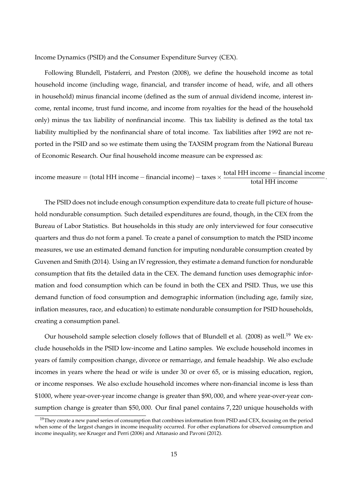Income Dynamics (PSID) and the Consumer Expenditure Survey (CEX).

Following Blundell, Pistaferri, and Preston (2008), we define the household income as total household income (including wage, financial, and transfer income of head, wife, and all others in household) minus financial income (defined as the sum of annual dividend income, interest income, rental income, trust fund income, and income from royalties for the head of the household only) minus the tax liability of nonfinancial income. This tax liability is defined as the total tax liability multiplied by the nonfinancial share of total income. Tax liabilities after 1992 are not reported in the PSID and so we estimate them using the TAXSIM program from the National Bureau of Economic Research. Our final household income measure can be expressed as:

# income measure = (total HH income – financial income) – taxes  $\times$   $\frac{\text{total HH income}}{\text{total HH income}}$ .

The PSID does not include enough consumption expenditure data to create full picture of household nondurable consumption. Such detailed expenditures are found, though, in the CEX from the Bureau of Labor Statistics. But households in this study are only interviewed for four consecutive quarters and thus do not form a panel. To create a panel of consumption to match the PSID income measures, we use an estimated demand function for imputing nondurable consumption created by Guvenen and Smith (2014). Using an IV regression, they estimate a demand function for nondurable consumption that fits the detailed data in the CEX. The demand function uses demographic information and food consumption which can be found in both the CEX and PSID. Thus, we use this demand function of food consumption and demographic information (including age, family size, inflation measures, race, and education) to estimate nondurable consumption for PSID households, creating a consumption panel.

Our household sample selection closely follows that of Blundell et al. (2008) as well.<sup>19</sup> We exclude households in the PSID low-income and Latino samples. We exclude household incomes in years of family composition change, divorce or remarriage, and female headship. We also exclude incomes in years where the head or wife is under 30 or over 65, or is missing education, region, or income responses. We also exclude household incomes where non-financial income is less than \$1000, where year-over-year income change is greater than \$90, 000, and where year-over-year consumption change is greater than \$50, 000. Our final panel contains 7, 220 unique households with

 $19$ They create a new panel series of consumption that combines information from PSID and CEX, focusing on the period when some of the largest changes in income inequality occurred. For other explanations for observed consumption and income inequality, see Krueger and Perri (2006) and Attanasio and Pavoni (2012).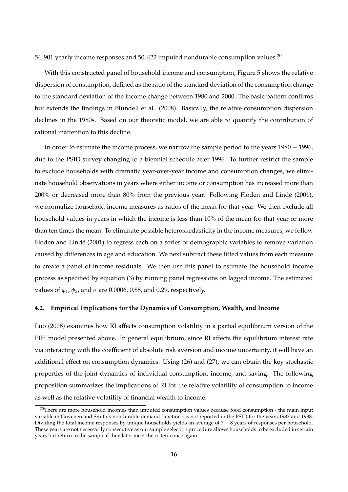54, 901 yearly income responses and 50, 422 imputed nondurable consumption values.<sup>20</sup>

With this constructed panel of household income and consumption, Figure 5 shows the relative dispersion of consumption, defined as the ratio of the standard deviation of the consumption change to the standard deviation of the income change between 1980 and 2000. The basic pattern confirms but extends the findings in Blundell et al. (2008). Basically, the relative consumption dispersion declines in the 1980s. Based on our theoretic model, we are able to quantify the contribution of rational inattention to this decline.

In order to estimate the income process, we narrow the sample period to the years 1980 − 1996, due to the PSID survey changing to a biennial schedule after 1996. To further restrict the sample to exclude households with dramatic year-over-year income and consumption changes, we eliminate household observations in years where either income or consumption has increased more than 200% or decreased more than 80% from the previous year. Following Floden and Lindé (2001), we normalize household income measures as ratios of the mean for that year. We then exclude all household values in years in which the income is less than 10% of the mean for that year or more than ten times the mean. To eliminate possible heteroskedasticity in the income measures, we follow Floden and Lindé (2001) to regress each on a series of demographic variables to remove variation caused by differences in age and education. We next subtract these fitted values from each measure to create a panel of income residuals. We then use this panel to estimate the household income process as specified by equation (3) by running panel regressions on lagged income. The estimated values of *φ*1, *φ*2, and *σ* are 0.0006, 0.88, and 0.29, respectively.

## **4.2. Empirical Implications for the Dynamics of Consumption, Wealth, and Income**

Luo (2008) examines how RI affects consumption volatility in a partial equilibrium version of the PIH model presented above. In general equilibrium, since RI affects the equilibrium interest rate via interacting with the coefficient of absolute risk aversion and income uncertainty, it will have an additional effect on consumption dynamics. Using (26) and (27), we can obtain the key stochastic properties of the joint dynamics of individual consumption, income, and saving. The following proposition summarizes the implications of RI for the relative volatility of consumption to income as well as the relative volatility of financial wealth to income:

<sup>&</sup>lt;sup>20</sup>There are more household incomes than imputed consumption values because food consumption - the main input variable in Guvenen and Smith's nondurable demand function - is not reported in the PSID for the years 1987 and 1988. Dividing the total income responses by unique households yields an average of 7 − 8 years of responses per household. These years are not necessarily consecutive as our sample selection procedure allows households to be excluded in certain years but return to the sample if they later meet the criteria once again.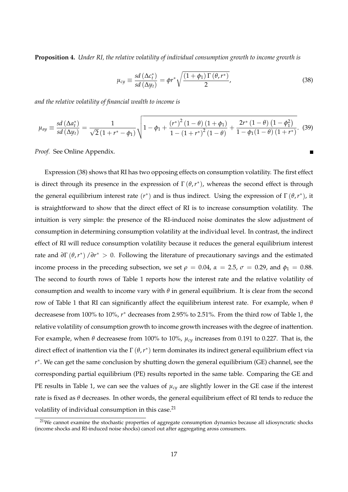**Proposition 4.** *Under RI, the relative volatility of individual consumption growth to income growth is*

$$
\mu_{cy} \equiv \frac{sd\left(\Delta c_t^*\right)}{sd\left(\Delta y_t\right)} = \phi r^* \sqrt{\frac{\left(1 + \phi_1\right)\Gamma\left(\theta, r^*\right)}{2}},\tag{38}
$$

*and the relative volatility of financial wealth to income is*

$$
\mu_{ay} \equiv \frac{sd\left(\Delta a_t^*\right)}{sd\left(\Delta y_t\right)} = \frac{1}{\sqrt{2}\left(1 + r^* - \phi_1\right)} \sqrt{1 - \phi_1 + \frac{\left(r^*\right)^2 \left(1 - \theta\right)\left(1 + \phi_1\right)}{1 - \left(1 + r^*\right)^2 \left(1 - \theta\right)} + \frac{2r^*\left(1 - \theta\right)\left(1 - \phi_1^2\right)}{1 - \phi_1(1 - \theta)\left(1 + r^*\right)}}. \tag{39}
$$

*Proof.* See Online Appendix.

Expression (38) shows that RI has two opposing effects on consumption volatility. The first effect is direct through its presence in the expression of  $\Gamma(\theta, r^*)$ , whereas the second effect is through the general equilibrium interest rate  $(r^*)$  and is thus indirect. Using the expression of  $\Gamma(\theta, r^*)$ , it is straightforward to show that the direct effect of RI is to increase consumption volatility. The intuition is very simple: the presence of the RI-induced noise dominates the slow adjustment of consumption in determining consumption volatility at the individual level. In contrast, the indirect effect of RI will reduce consumption volatility because it reduces the general equilibrium interest rate and  $\partial \Gamma(\theta, r^*) / \partial r^* > 0$ . Following the literature of precautionary savings and the estimated income process in the preceding subsection, we set  $\rho = 0.04$ ,  $\alpha = 2.5$ ,  $\sigma = 0.29$ , and  $\phi_1 = 0.88$ . The second to fourth rows of Table 1 reports how the interest rate and the relative volatility of consumption and wealth to income vary with  $\theta$  in general equilibrium. It is clear from the second row of Table 1 that RI can significantly affect the equilibrium interest rate. For example, when *θ* decreasese from 100% to 10%, *r* ∗ decreases from 2.95% to 2.51%. From the third row of Table 1, the relative volatility of consumption growth to income growth increases with the degree of inattention. For example, when *θ* decreasese from 100% to 10%, *µcy* increases from 0.191 to 0.227. That is, the direct effect of inattention via the Γ (θ, r<sup>\*</sup>) term dominates its indirect general equilibrium effect via *r* ∗ . We can get the same conclusion by shutting down the general equilibrium (GE) channel, see the corresponding partial equilibrium (PE) results reported in the same table. Comparing the GE and PE results in Table 1, we can see the values of  $\mu_{cv}$  are slightly lower in the GE case if the interest rate is fixed as *θ* decreases. In other words, the general equilibrium effect of RI tends to reduce the volatility of individual consumption in this case. $21$ 

<sup>&</sup>lt;sup>21</sup>We cannot examine the stochastic properties of aggregate consumption dynamics because all idiosyncratic shocks (income shocks and RI-induced noise shocks) cancel out after aggregating aross consumers.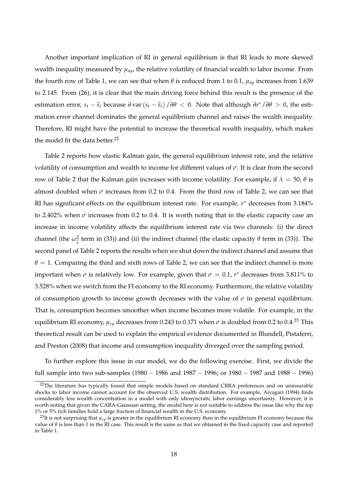Another important implication of RI in general equilibrium is that RI leads to more skewed wealth inequality measured by *µay*, the relative volatility of financial wealth to labor income. From the fourth row of Table 1, we can see that when *θ* is reduced from 1 to 0.1, *µay* increases from 1.639 to 2.145. From (26), it is clear that the main driving force behind this result is the presence of the estimation error,  $s_t - \hat{s}_t$  because  $\partial \text{var}(s_t - \hat{s}_t) / \partial \theta < 0$ . Note that although  $\partial r^* / \partial \theta > 0$ , the estimation error channel dominates the general equilibrium channel and raises the wealth inequality. Therefore, RI might have the potential to increase the theoretical wealth inequality, which makes the model fit the data better. $^{22}$ 

Table 2 reports how elastic Kalman gain, the general equilibrium interest rate, and the relative volatility of consumption and wealth to income for different values of *σ*. It is clear from the second row of Table 2 that the Kalman gain increases with income volatility. For example, if  $λ = 50$ ,  $θ$  is almost doubled when  $\sigma$  increases from 0.2 to 0.4. From the third row of Table 2, we can see that RI has significant effects on the equilibrium interest rate. For example, *r* ∗ decreases from 3.184% to 2.402% when  $\sigma$  increases from 0.2 to 0.4. It is worth noting that in the elastic capacity case an increase in income volatility affects the equilibrium interest rate via two channels: (i) the direct channel (the  $\omega_{\zeta}^2$  term in (33)) and (ii) the indirect channel (the elastic capacity  $\theta$  term in (33)). The second panel of Table 2 reports the results when we shut down the indirect channel and assume that  $\theta = 1$ . Comparing the third and sixth rows of Table 2, we can see that the indirect channel is more important when  $\sigma$  is relatively low. For example, given that  $\sigma = 0.1$ ,  $r^*$  decreases from 3.811% to 3.528% when we switch from the FI economy to the RI economy. Furthermore, the relative volatility of consumption growth to income growth decreases with the value of  $\sigma$  in general equilibrium. That is, consumption becomes smoother when income becomes more volatile. For example, in the equilibrium RI economy,  $\mu_{cy}$  decreases from 0.243 to 0.171 when  $\sigma$  is doubled from 0.2 to 0.4.<sup>23</sup> This theoretical result can be used to explain the empirical evidence documented in Blundell, Pistaferri, and Preston (2008) that income and consumption inequality diverged over the sampling period.

To further explore this issue in our model, we do the following exercise. First, we divide the full sample into two sub-samples (1980 − 1986 and 1987 − 1996; or 1980 − 1987 and 1988 − 1996)

<sup>&</sup>lt;sup>22</sup>The literature has typically found that simple models based on standard CRRA preferences and on uninsurable shocks to labor income cannot account for the observed U.S. wealth distribution. For example, Aiyagari (1994) finds considerably less wealth concentration in a model with only idiosyncratic labor earnings uncertainty. However, it is worth noting that given the CARA-Gaussian setting, the model here is not suitable to address the issue like why the top 1% or 5% rich families hold a large fraction of financial wealth in the U.S. economy.

<sup>&</sup>lt;sup>23</sup>It is not surprising that  $\mu_{c}$  is greater in the equilibrium RI economy than in the equilibrium FI economy because the value of *θ* is less than 1 in the RI case. This result is the same as that we obtained in the fixed capacity case and reported in Table 1.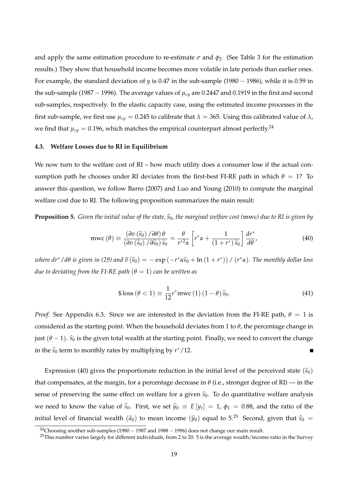and apply the same estimation procedure to re-estimate  $\sigma$  and  $\phi_2$ . (See Table 3 for the estimation results.) They show that household income becomes more volatile in late periods than earlier ones. For example, the standard deviation of *y* is 0.47 in the sub-sample (1980 − 1986), while it is 0.59 in the sub-sample (1987 − 1996). The average values of *µcy* are 0.2447 and 0.1919 in the first and second sub-samples, respectively. In the elastic capacity case, using the estimated income processes in the first sub-sample, we first use  $\mu_{cy} = 0.245$  to calibrate that  $\lambda = 365$ . Using this calibrated value of  $\lambda$ , we find that  $\mu_{cy} = 0.196$ , which matches the empirical counterpart almost perfectly.<sup>24</sup>

## **4.3. Welfare Losses due to RI in Equilibrium**

We now turn to the welfare cost of RI – how much utility does a consumer lose if the actual consumption path he chooses under RI deviates from the first-best FI-RE path in which  $\theta = 1$ ? To answer this question, we follow Barro (2007) and Luo and Young (2010) to compute the marginal welfare cost due to RI. The following proposition summarizes the main result:

**Proposition 5.** *Given the initial value of the state,*  $\hat{s}_0$ *, the marginal welfare cost (mwc) due to RI is given by* 

$$
mwc(\theta) \equiv \frac{(\partial v(\widehat{s}_0) / \partial \theta) \theta}{(\partial v(\widehat{s}_0) / \partial \widehat{s}_0) \widehat{s}_0} = \frac{\theta}{r^{*2} \alpha} \left[ r^* \alpha + \frac{1}{(1+r^*) \widehat{s}_0} \right] \frac{dr^*}{d\theta'},
$$
(40)

*where dr\** /  $d\theta$  *is given in (29) and*  $\widehat{v}(\widehat{s}_0) = -\exp(-r^*\alpha\widehat{s}_0 + \ln(1+r^*))$  /  $(r^*\alpha)$ *. The monthly dollar loss due to deviating from the FI-RE path*  $(\theta = 1)$  *can be written as* 

$$
\$ \text{loss} \left( \theta < 1 \right) \equiv \frac{1}{12} r^* \text{mwc} \left( 1 \right) \left( 1 - \theta \right) \hat{s}_0. \tag{41}
$$

*Proof.* See Appendix 6.3. Since we are interested in the deviation from the FI-RE path,  $\theta = 1$  is considered as the starting point. When the household deviates from 1 to *θ*, the percentage change in just  $(\theta - 1)$ .  $\hat{s}_0$  is the given total wealth at the starting point. Finally, we need to convert the change in the  $\widehat{s}_0$  term to monthly rates by multiplying by  $r^*/12$ .

Expression (40) gives the proportionate reduction in the initial level of the perceived state  $(\hat{s}_0)$ that compensates, at the margin, for a percentage decrease in  $\theta$  (i.e., stronger degree of RI) — in the sense of preserving the same effect on welfare for a given  $\hat{s}_0$ . To do quantitative welfare analysis we need to know the value of  $\hat{s}_0$ . First, we set  $\hat{y}_0 \equiv E[y_t] = 1, \phi_1 = 0.88$ , and the ratio of the initial level of financial wealth  $(\hat{a}_0)$  to mean income  $(\hat{y}_0)$  equal to 5.<sup>25</sup> Second, given that  $\hat{s}_0$  =

<sup>&</sup>lt;sup>24</sup>Choosing another sub-samples (1980 – 1987 and 1988 – 1996) does not change our main result.

 $^{25}$ This number varies largely for different individuals, from 2 to 20. 5 is the average wealth/income ratio in the Survey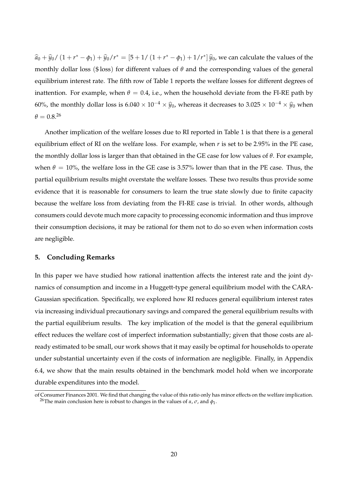$\hat{a}_0 + \hat{y}_0 / (1 + r^* - \phi_1) + \hat{y}_0 / r^* = [5 + 1 / (1 + r^* - \phi_1) + 1/r^*] \hat{y}_0$ , we can calculate the values of the monthly dollar loss (\$ loss) for different values of *θ* and the corresponding values of the general equilibrium interest rate. The fifth row of Table 1 reports the welfare losses for different degrees of inattention. For example, when  $\theta = 0.4$ , i.e., when the household deviate from the FI-RE path by 60%, the monthly dollar loss is  $6.040 \times 10^{-4} \times \hat{y}_0$ , whereas it decreases to 3.025 ×  $10^{-4} \times \hat{y}_0$  when  $\theta = 0.8^{26}$ 

Another implication of the welfare losses due to RI reported in Table 1 is that there is a general equilibrium effect of RI on the welfare loss. For example, when *r* is set to be 2.95% in the PE case, the monthly dollar loss is larger than that obtained in the GE case for low values of *θ*. For example, when  $\theta = 10\%$ , the welfare loss in the GE case is 3.57% lower than that in the PE case. Thus, the partial equilibrium results might overstate the welfare losses. These two results thus provide some evidence that it is reasonable for consumers to learn the true state slowly due to finite capacity because the welfare loss from deviating from the FI-RE case is trivial. In other words, although consumers could devote much more capacity to processing economic information and thus improve their consumption decisions, it may be rational for them not to do so even when information costs are negligible.

## **5. Concluding Remarks**

In this paper we have studied how rational inattention affects the interest rate and the joint dynamics of consumption and income in a Huggett-type general equilibrium model with the CARA-Gaussian specification. Specifically, we explored how RI reduces general equilibrium interest rates via increasing individual precautionary savings and compared the general equilibrium results with the partial equilibrium results. The key implication of the model is that the general equilibrium effect reduces the welfare cost of imperfect information substantially; given that those costs are already estimated to be small, our work shows that it may easily be optimal for households to operate under substantial uncertainty even if the costs of information are negligible. Finally, in Appendix 6.4, we show that the main results obtained in the benchmark model hold when we incorporate durable expenditures into the model.

of Consumer Finances 2001. We find that changing the value of this ratio only has minor effects on the welfare implication. <sup>26</sup>The main conclusion here is robust to changes in the values of *α*, *σ*, and *φ*<sup>1</sup> .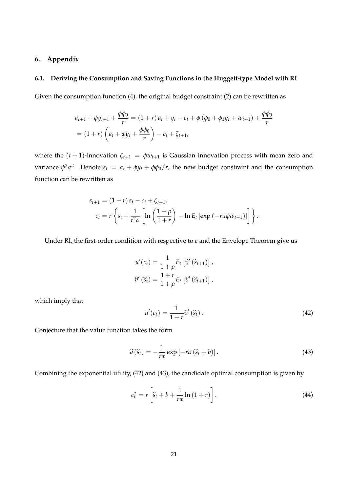## **6. Appendix**

## **6.1. Deriving the Consumption and Saving Functions in the Huggett-type Model with RI**

Given the consumption function (4), the original budget constraint (2) can be rewritten as

$$
a_{t+1} + \phi y_{t+1} + \frac{\phi \phi_0}{r} = (1+r) a_t + y_t - c_t + \phi (\phi_0 + \phi_1 y_t + w_{t+1}) + \frac{\phi \phi_0}{r}
$$
  
=  $(1+r) \left( a_t + \phi y_t + \frac{\phi \phi_0}{r} \right) - c_t + \zeta_{t+1}$ ,

where the  $(t + 1)$ -innovation  $\zeta_{t+1} = \phi w_{t+1}$  is Gaussian innovation process with mean zero and variance  $\phi^2 \sigma^2$ . Denote  $s_t = a_t + \phi y_t + \phi \phi_0/r$ , the new budget constraint and the consumption function can be rewritten as

$$
s_{t+1} = (1+r) s_t - c_t + \zeta_{t+1},
$$
  
\n
$$
c_t = r \left\{ s_t + \frac{1}{r^2 \alpha} \left[ \ln \left( \frac{1+\rho}{1+r} \right) - \ln E_t \left[ \exp \left( -r \alpha \phi w_{t+1} \right) \right] \right] \right\}.
$$

Under RI, the first-order condition with respective to *c* and the Envelope Theorem give us

$$
u'(c_t) = \frac{1}{1+\rho} E_t \left[ \widehat{v}'(\widehat{s}_{t+1}) \right],
$$
  

$$
\widehat{v}'(\widehat{s}_t) = \frac{1+r}{1+\rho} E_t \left[ \widehat{v}'(\widehat{s}_{t+1}) \right],
$$

which imply that

$$
u'(c_t) = \frac{1}{1+r} \widehat{v}'(\widehat{s}_t).
$$
\n(42)

Conjecture that the value function takes the form

$$
\widehat{v}(\widehat{s}_t) = -\frac{1}{r\alpha} \exp\left[-r\alpha \left(\widehat{s}_t + b\right)\right]. \tag{43}
$$

Combining the exponential utility, (42) and (43), the candidate optimal consumption is given by

$$
c_t^* = r \left[ \hat{s}_t + b + \frac{1}{r\alpha} \ln \left( 1 + r \right) \right]. \tag{44}
$$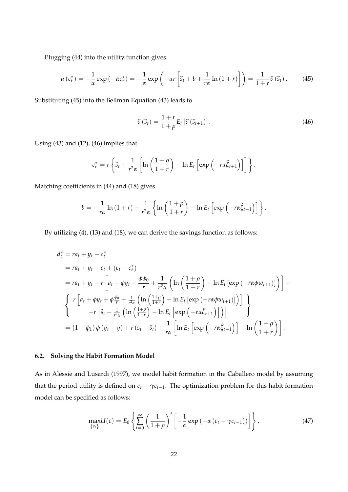Plugging (44) into the utility function gives

$$
u\left(c_{t}^{*}\right)=-\frac{1}{\alpha}\exp\left(-\alpha c_{t}^{*}\right)=-\frac{1}{\alpha}\exp\left(-\alpha r\left[\widehat{s}_{t}+b+\frac{1}{r\alpha}\ln\left(1+r\right)\right]\right)=\frac{1}{1+r}\widehat{v}\left(\widehat{s}_{t}\right).
$$
 (45)

Substituting (45) into the Bellman Equation (43) leads to

$$
\widehat{v}\left(\widehat{s}_{t}\right) = \frac{1+r}{1+\rho} E_{t}\left[\widehat{v}\left(\widehat{s}_{t+1}\right)\right].\tag{46}
$$

Using (43) and (12), (46) implies that

$$
c_t^* = r \left\{ \widehat{s}_t + \frac{1}{r^2 \alpha} \left[ \ln \left( \frac{1+\rho}{1+r} \right) - \ln E_t \left[ \exp \left( -r \alpha \widehat{\zeta}_{t+1} \right) \right] \right] \right\}.
$$

Matching coefficients in (44) and (18) gives

$$
b=-\frac{1}{r\alpha}\ln\left(1+r\right)+\frac{1}{r^2\alpha}\left\{\ln\left(\frac{1+\rho}{1+r}\right)-\ln E_t\left[\exp\left(-r\alpha\widehat{\zeta}_{t+1}\right)\right]\right\}.
$$

By utilizing (4), (13) and (18), we can derive the savings function as follows:

$$
d_t^* = ra_t + y_t - c_t^*
$$
  
\n
$$
= ra_t + y_t - c_t + (c_t - c_t^*)
$$
  
\n
$$
= ra_t + y_t - r \left[ a_t + \phi y_t + \frac{\phi \phi_0}{r} + \frac{1}{r^2 \alpha} \left( \ln \left( \frac{1+\rho}{1+r} \right) - \ln E_t \left[ \exp \left( -r \alpha \phi w_{t+1} \right) \right] \right) \right] +
$$
  
\n
$$
\left\{ r \left[ a_t + \phi y_t + \phi \frac{\phi_0}{r} + \frac{1}{r^2 \alpha} \left( \ln \left( \frac{1+\rho}{1+r} \right) - \ln E_t \left[ \exp \left( -r \alpha \phi w_{t+1} \right) \right] \right) \right] - r \left[ \hat{s}_t + \frac{1}{r^2 \alpha} \left( \ln \left( \frac{1+\rho}{1+r} \right) - \ln E_t \left[ \exp \left( -r \alpha \hat{\zeta}_{t+1} \right) \right] \right) \right] \right\}
$$
  
\n
$$
= (1 - \phi_1) \phi (y_t - \overline{y}) + r (s_t - \hat{s}_t) + \frac{1}{r \alpha} \left[ \ln E_t \left[ \exp \left( -r \alpha \hat{\zeta}_{t+1} \right) \right] - \ln \left( \frac{1+\rho}{1+r} \right) \right].
$$

## **6.2. Solving the Habit Formation Model**

As in Alessie and Lusardi (1997), we model habit formation in the Caballero model by assuming that the period utility is defined on  $c_t - \gamma c_{t-1}$ . The optimization problem for this habit formation model can be specified as follows:

$$
\max_{\{c_t\}} U(c) = E_0 \left\{ \sum_{t=0}^{\infty} \left( \frac{1}{1+\rho} \right)^t \left[ -\frac{1}{\alpha} \exp \left( -\alpha \left( c_t - \gamma c_{t-1} \right) \right) \right] \right\},
$$
\n(47)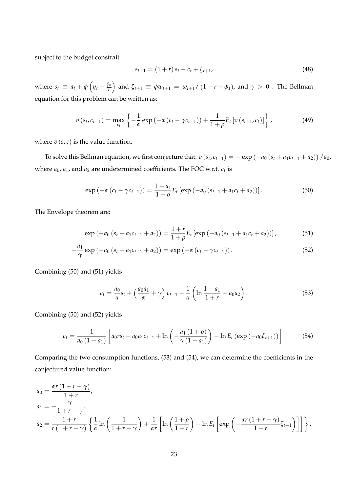subject to the budget constrait

$$
s_{t+1} = (1+r) s_t - c_t + \zeta_{t+1}, \tag{48}
$$

where  $s_t \equiv a_t + \phi \left( y_t + \frac{\phi_0}{r} \right)$ *r*  $\int$  and  $\zeta_{t+1} \equiv \phi w_{t+1} = w_{t+1}/(1 + r - \phi_1)$ , and  $\gamma > 0$  . The Bellman equation for this problem can be written as:

$$
v(s_t, c_{t-1}) = \max_{c_t} \left\{ -\frac{1}{\alpha} \exp \left( -\alpha (c_t - \gamma c_{t-1}) \right) + \frac{1}{1+\rho} E_t \left[ v(s_{t+1}, c_t) \right] \right\},
$$
(49)

where  $v(s, c)$  is the value function.

To solve this Bellman equation, we first conjecture that:  $v(s_t, c_{t-1}) = -\exp(-a_0(s_t + a_1c_{t-1} + a_2)) / a_0$ where  $a_0$ ,  $a_1$ , and  $a_2$  are undetermined coefficients. The FOC w.r.t.  $c_t$  is

$$
\exp\left(-\alpha\left(c_{t}-\gamma c_{t-1}\right)\right)=\frac{1-a_{1}}{1+\rho}E_{t}\left[\exp\left(-a_{0}\left(s_{t+1}+a_{1}c_{t}+a_{2}\right)\right)\right].
$$
\n(50)

The Envelope theorem are:

$$
\exp(-a_0(s_t + a_1c_{t-1} + a_2)) = \frac{1+r}{1+\rho}E_t\left[\exp(-a_0(s_{t+1} + a_1c_t + a_2))\right],\tag{51}
$$

$$
-\frac{a_1}{\gamma}\exp(-a_0(s_t + a_1c_{t-1} + a_2)) = \exp(-\alpha(c_t - \gamma c_{t-1})).
$$
\n(52)

Combining (50) and (51) yields

$$
c_{t} = \frac{a_{0}}{\alpha} s_{t} + \left(\frac{a_{0}a_{1}}{\alpha} + \gamma\right) c_{t-1} - \frac{1}{\alpha} \left(\ln \frac{1 - a_{1}}{1 + r} - a_{0}a_{2}\right).
$$
 (53)

Combining (50) and (52) yields

$$
c_{t} = \frac{1}{a_{0} (1 - a_{1})} \left[ a_{0} r s_{t} - a_{0} a_{1} c_{t-1} + \ln \left( -\frac{a_{1} (1 + \rho)}{\gamma (1 - a_{1})} \right) - \ln E_{t} \left( \exp \left( -a_{0} \zeta_{t+1} \right) \right) \right].
$$
 (54)

Comparing the two consumption functions, (53) and (54), we can determine the coefficients in the conjectured value function:

$$
a_0 = \frac{\alpha r (1 + r - \gamma)}{1 + r},
$$
  
\n
$$
a_1 = -\frac{\gamma}{1 + r - \gamma},
$$
  
\n
$$
a_2 = \frac{1 + r}{r (1 + r - \gamma)} \left\{ \frac{1}{\alpha} \ln \left( \frac{1}{1 + r - \gamma} \right) + \frac{1}{\alpha r} \left[ \ln \left( \frac{1 + \rho}{1 + r} \right) - \ln E_t \left[ \exp \left( -\frac{\alpha r (1 + r - \gamma)}{1 + r} \zeta_{t+1} \right) \right] \right] \right\}.
$$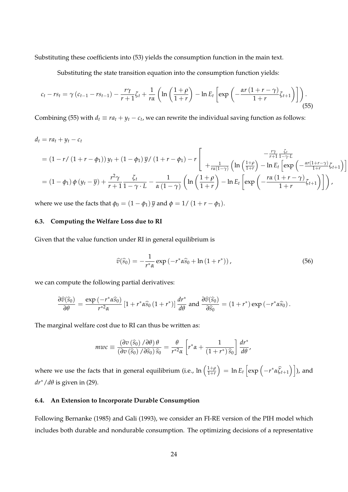Substituting these coefficients into (53) yields the consumption function in the main text.

Substituting the state transition equation into the consumption function yields:

$$
c_t - rs_t = \gamma (c_{t-1} - rs_{t-1}) - \frac{r\gamma}{r+1}\zeta_t + \frac{1}{r\alpha} \left( \ln\left(\frac{1+\rho}{1+r}\right) - \ln E_t \left[ \exp\left(-\frac{\alpha r (1+r-\gamma)}{1+r}\zeta_{t+1}\right) \right] \right).
$$
\n(55)

Combining (55) with  $d_t \equiv ra_t + y_t - c_t$ , we can rewrite the individual saving function as follows:

$$
d_{t} = r a_{t} + y_{t} - c_{t}
$$
\n
$$
= (1 - r / (1 + r - \phi_{1})) y_{t} + (1 - \phi_{1}) \overline{y} / (1 + r - \phi_{1}) - r \left[ \frac{-\frac{r\gamma}{r+1} \frac{\zeta_{t}}{1-\gamma \cdot L}}{+\frac{1}{r\alpha(1-\gamma)} \left( \ln \left( \frac{1+\rho}{1+r} \right) - \ln E_{t} \left[ \exp \left( -\frac{\alpha r(1+r-\gamma)}{1+r} \zeta_{t+1} \right) \right] \right] \right]
$$
\n
$$
= (1 - \phi_{1}) \phi (y_{t} - \overline{y}) + \frac{r^{2} \gamma}{r+1} \frac{\zeta_{t}}{1-\gamma \cdot L} - \frac{1}{\alpha (1-\gamma)} \left( \ln \left( \frac{1+\rho}{1+r} \right) - \ln E_{t} \left[ \exp \left( -\frac{r\alpha (1+r-\gamma)}{1+r} \zeta_{t+1} \right) \right] \right),
$$

where we use the facts that  $\phi_0 = (1 - \phi_1) \bar{y}$  and  $\phi = 1/(1 + r - \phi_1)$ .

## **6.3. Computing the Welfare Loss due to RI**

Given that the value function under RI in general equilibrium is

$$
\widehat{v}(\widehat{s}_0) = -\frac{1}{r^*\alpha} \exp\left(-r^*\alpha \widehat{s}_0 + \ln\left(1+r^*\right)\right),\tag{56}
$$

we can compute the following partial derivatives:

$$
\frac{\partial \widehat{v}(\widehat{s}_0)}{\partial \theta} = \frac{\exp(-r^* \alpha \widehat{s}_0)}{r^{*2} \alpha} \left[1 + r^* \alpha \widehat{s}_0 \left(1 + r^*\right)\right] \frac{dr^*}{d\theta} \text{ and } \frac{\partial \widehat{v}(\widehat{s}_0)}{\partial \widehat{s}_0} = \left(1 + r^*\right) \exp\left(-r^* \alpha \widehat{s}_0\right).
$$

The marginal welfare cost due to RI can thus be written as:

$$
mvc \equiv \frac{\left(\partial v\left(\widehat{s}_0\right)/\partial\theta\right)\theta}{\left(\partial v\left(\widehat{s}_0\right)/\partial\widehat{s}_0\right)\widehat{s}_0} = \frac{\theta}{r^{*2}\alpha}\left[r^*\alpha+\frac{1}{\left(1+r^*\right)\widehat{s}_0}\right]\frac{dr^*}{d\theta},
$$

where we use the facts that in general equilibrium (i.e.,  $\ln\left(\frac{1+\rho}{1+r}\right)$ 1+*r*  $\Big) = \ln E_t \left[ \exp \left( -r^* \alpha \widehat{\zeta}_{t+1} \right) \right]$ ), and *dr*∗/*dθ* is given in (29).

## **6.4. An Extension to Incorporate Durable Consumption**

Following Bernanke (1985) and Gali (1993), we consider an FI-RE version of the PIH model which includes both durable and nondurable consumption. The optimizing decisions of a representative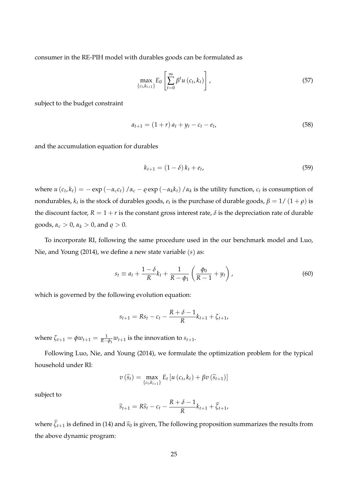consumer in the RE-PIH model with durables goods can be formulated as

$$
\max_{\{c_t, k_{t+1}\}} E_0 \left[ \sum_{t=0}^{\infty} \beta^t u\left(c_t, k_t\right) \right], \tag{57}
$$

subject to the budget constraint

$$
a_{t+1} = (1+r) a_t + y_t - c_t - e_t,
$$
\n(58)

and the accumulation equation for durables

$$
k_{t+1} = (1 - \delta) k_t + e_t,
$$
\n(59)

where  $u(c_t, k_t) = -e^{c_t}(\alpha_c c_t)/\alpha_c - e^{c_t}(\alpha_c k_t)/\alpha_k$  is the utility function,  $c_t$  is consumption of nondurables*, k<sub>t</sub>* is the stock of durables goods*, e<sub>t</sub>* is the purchase of durable goods,  $\beta = 1/\left(1+\rho\right)$  is the discount factor,  $R = 1 + r$  is the constant gross interest rate,  $\delta$  is the depreciation rate of durable goods,  $\alpha_c > 0$ ,  $\alpha_k > 0$ , and  $\rho > 0$ .

To incorporate RI, following the same procedure used in the our benchmark model and Luo, Nie, and Young (2014), we define a new state variable (*s*) as:

$$
s_t \equiv a_t + \frac{1-\delta}{R}k_t + \frac{1}{R-\phi_1}\left(\frac{\phi_0}{R-1} + y_t\right),\tag{60}
$$

which is governed by the following evolution equation:

$$
s_{t+1} = Rs_t - c_t - \frac{R + \delta - 1}{R}k_{t+1} + \zeta_{t+1},
$$

where  $\zeta_{t+1} = \phi w_{t+1} = \frac{1}{R - \phi_1} w_{t+1}$  is the innovation to  $s_{t+1}$ .

Following Luo, Nie, and Young (2014), we formulate the optimization problem for the typical household under RI:

$$
v\left(\widehat{s}_{t}\right)=\max_{\left\{c_{t},k_{t+1}\right\}}E_{t}\left[u\left(c_{t},k_{t}\right)+\beta v\left(\widehat{s}_{t+1}\right)\right]
$$

subject to

$$
\widehat{s}_{t+1} = R\widehat{s}_t - c_t - \frac{R+\delta-1}{R}k_{t+1} + \widehat{\zeta}_{t+1},
$$

where  $\hat{\zeta}_{t+1}$  is defined in (14) and  $\hat{s}_0$  is given, The following proposition summarizes the results from the above dynamic program: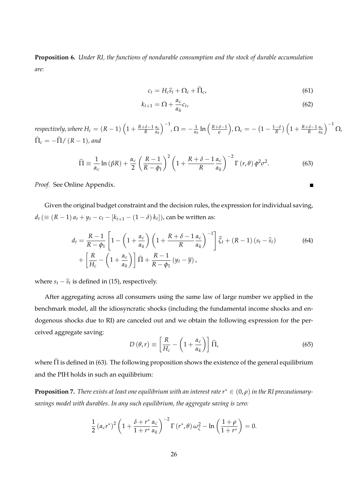**Proposition 6.** *Under RI, the functions of nondurable consumption and the stock of durable accumulation are:*

$$
c_t = H_c \hat{s}_t + \Omega_c + \hat{\Pi}_c, \tag{61}
$$

Е

$$
k_{t+1} = \Omega + \frac{\alpha_c}{\alpha_k} c_t, \tag{62}
$$

respectively, where  $H_c = (R - 1)\left(1 + \frac{R + \delta - 1}{R}\frac{\alpha_c}{\alpha_k}\right)$ *αk*  $\int^{-1}$ ,  $\Omega = -\frac{1}{\alpha_k} \ln \left( \frac{R+\delta-1}{\varrho} \right)$  $\int$ *,*  $\Omega_c = -\left(1 - \frac{1-\delta}{R}\right)\left(1 + \frac{R+\delta-1}{R}\frac{\alpha_c}{\alpha_R}\right)$ *αk*  $\Big)^{-1}$   $\Omega$ ,  $\widehat{\Pi}_c = -\widehat{\Pi}/(R-1)$ , and

$$
\widehat{\Pi} \equiv \frac{1}{\alpha_c} \ln \left( \beta R \right) + \frac{\alpha_c}{2} \left( \frac{R-1}{R-\phi_1} \right)^2 \left( 1 + \frac{R+\delta-1}{R} \frac{\alpha_c}{\alpha_k} \right)^{-2} \Gamma \left( r, \theta \right) \phi^2 \sigma^2. \tag{63}
$$

*Proof.* See Online Appendix.

Given the original budget constraint and the decision rules, the expression for individual saving, *d*<sup>*t*</sup> (≡ (*R* − 1) *a*<sup>*t*</sup> + *y*<sup>*t*</sup> − *c*<sup>*t*</sup> − [ $k$ <sup>*t*+1</sub> − (1 − *δ*)  $k$ <sup>*t*</sup>]), can be written as:</sup>

$$
d_{t} = \frac{R-1}{R-\phi_{1}} \left[ 1 - \left( 1 + \frac{\alpha_{c}}{\alpha_{k}} \right) \left( 1 + \frac{R+\delta-1}{R} \frac{\alpha_{c}}{\alpha_{k}} \right)^{-1} \right] \hat{\zeta}_{t} + (R-1) \left( s_{t} - \hat{s}_{t} \right) + \left[ \frac{R}{H_{c}} - \left( 1 + \frac{\alpha_{c}}{\alpha_{k}} \right) \right] \hat{\Pi} + \frac{R-1}{R-\phi_{1}} \left( y_{t} - \bar{y} \right), \tag{64}
$$

where  $s_t - \widehat{s}_t$  is defined in (15), respectively.

After aggregating across all consumers using the same law of large number we applied in the benchmark model, all the idiosyncratic shocks (including the fundamental income shocks and endogenous shocks due to RI) are canceled out and we obtain the following expression for the perceived aggregate saving:

$$
D(\theta, r) \equiv \left[\frac{R}{H_c} - \left(1 + \frac{\alpha_c}{\alpha_k}\right)\right] \hat{\Pi},\tag{65}
$$

where  $\hat{\Pi}$  is defined in (63). The following proposition shows the existence of the general equilibrium and the PIH holds in such an equilibrium:

**Proposition 7.** *There exists at least one equilibrium with an interest rate*  $r^* \in (0, \rho)$  *in the RI precautionarysavings model with durables. In any such equilibrium, the aggregate saving is zero:*

$$
\frac{1}{2} \left( \alpha_c r^* \right)^2 \left( 1 + \frac{\delta + r^*}{1 + r^*} \frac{\alpha_c}{\alpha_k} \right)^{-2} \Gamma \left( r^*, \theta \right) \omega_{\zeta}^2 - \ln \left( \frac{1 + \rho}{1 + r^*} \right) = 0.
$$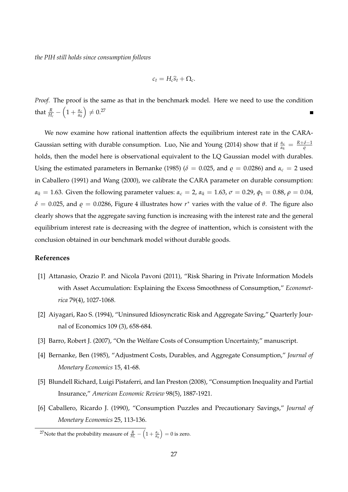*the PIH still holds since consumption follows*

$$
c_t = H_c \widehat{s}_t + \Omega_c.
$$

*Proof.* The proof is the same as that in the benchmark model. Here we need to use the condition that  $\frac{R}{H_c}$  –  $\left(1+\frac{\alpha_c}{\alpha_b}\right)$ *αk*  $E) \neq 0.27$ 

We now examine how rational inattention affects the equilibrium interest rate in the CARA-Gaussian setting with durable consumption. Luo, Nie and Young (2014) show that if  $\frac{\alpha_c}{\alpha_k} = \frac{R+\delta-1}{\varrho}$ holds, then the model here is observational equivalent to the LQ Gaussian model with durables. Using the estimated parameters in Bernanke (1985) ( $\delta = 0.025$ , and  $\varrho = 0.0286$ ) and  $\alpha_c = 2$  used in Caballero (1991) and Wang (2000), we calibrate the CARA parameter on durable consumption: *α*<sub>*k*</sub> = 1.63. Given the following parameter values:  $α<sub>c</sub> = 2$ ,  $α<sub>k</sub> = 1.63$ ,  $σ = 0.29$ ,  $φ<sub>1</sub> = 0.88$ ,  $ρ = 0.04$ , *δ* = 0.025, and *̺* = 0.0286, Figure 4 illustrates how *r* ∗ varies with the value of *θ*. The figure also clearly shows that the aggregate saving function is increasing with the interest rate and the general equilibrium interest rate is decreasing with the degree of inattention, which is consistent with the conclusion obtained in our benchmark model without durable goods.

## **References**

- [1] Attanasio, Orazio P. and Nicola Pavoni (2011), "Risk Sharing in Private Information Models with Asset Accumulation: Explaining the Excess Smoothness of Consumption," *Econometrica* 79(4), 1027-1068.
- [2] Aiyagari, Rao S. (1994), "Uninsured Idiosyncratic Risk and Aggregate Saving," Quarterly Journal of Economics 109 (3), 658-684.
- [3] Barro, Robert J. (2007), "On the Welfare Costs of Consumption Uncertainty," manuscript.
- [4] Bernanke, Ben (1985), "Adjustment Costs, Durables, and Aggregate Consumption," *Journal of Monetary Economics* 15, 41-68.
- [5] Blundell Richard, Luigi Pistaferri, and Ian Preston (2008), "Consumption Inequality and Partial Insurance," *American Economic Review* 98(5), 1887-1921.
- [6] Caballero, Ricardo J. (1990), "Consumption Puzzles and Precautionary Savings," *Journal of Monetary Economics* 25, 113-136.

<sup>27</sup>Note that the probability measure of  $\frac{R}{H_c} - \left(1 + \frac{\alpha_c}{\alpha_k}\right)$  $= 0$  is zero.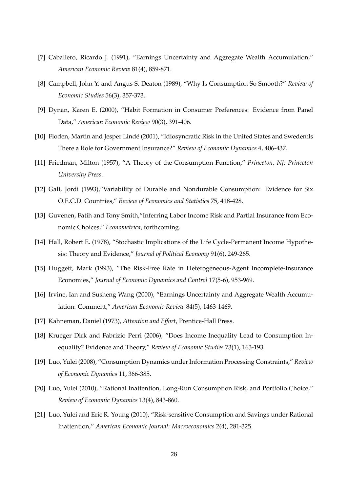- [7] Caballero, Ricardo J. (1991), "Earnings Uncertainty and Aggregate Wealth Accumulation," *American Economic Review* 81(4), 859-871.
- [8] Campbell, John Y. and Angus S. Deaton (1989), "Why Is Consumption So Smooth?" *Review of Economic Studies* 56(3), 357-373.
- [9] Dynan, Karen E. (2000), "Habit Formation in Consumer Preferences: Evidence from Panel Data," *American Economic Review* 90(3), 391-406.
- [10] Floden, Martin and Jesper Lindé (2001), "Idiosyncratic Risk in the United States and Sweden: Is There a Role for Government Insurance?" *Review of Economic Dynamics* 4, 406-437.
- [11] Friedman, Milton (1957), "A Theory of the Consumption Function," *Princeton, NJ: Princeton University Press*.
- [12] Galí, Jordi (1993), "Variability of Durable and Nondurable Consumption: Evidence for Six O.E.C.D. Countries," *Review of Economics and Statistics* 75, 418-428.
- [13] Guvenen, Fatih and Tony Smith, "Inferring Labor Income Risk and Partial Insurance from Economic Choices," *Econometrica*, forthcoming.
- [14] Hall, Robert E. (1978), "Stochastic Implications of the Life Cycle-Permanent Income Hypothesis: Theory and Evidence," *Journal of Political Economy* 91(6), 249-265.
- [15] Huggett, Mark (1993), "The Risk-Free Rate in Heterogeneous-Agent Incomplete-Insurance Economies," *Journal of Economic Dynamics and Control* 17(5-6), 953-969.
- [16] Irvine, Ian and Susheng Wang (2000), "Earnings Uncertainty and Aggregate Wealth Accumulation: Comment," *American Economic Review* 84(5), 1463-1469.
- [17] Kahneman, Daniel (1973), *Attention and Effort*, Prentice-Hall Press.
- [18] Krueger Dirk and Fabrizio Perri (2006), "Does Income Inequality Lead to Consumption Inequality? Evidence and Theory," *Review of Economic Studies* 73(1), 163-193.
- [19] Luo, Yulei (2008), "Consumption Dynamics under Information Processing Constraints," *Review of Economic Dynamics* 11, 366-385.
- [20] Luo, Yulei (2010), "Rational Inattention, Long-Run Consumption Risk, and Portfolio Choice," *Review of Economic Dynamics* 13(4), 843-860.
- [21] Luo, Yulei and Eric R. Young (2010), "Risk-sensitive Consumption and Savings under Rational Inattention," *American Economic Journal: Macroeconomics* 2(4), 281-325.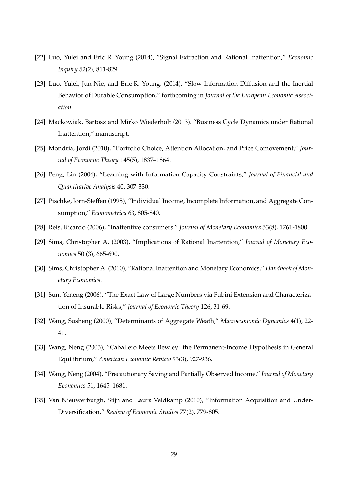- [22] Luo, Yulei and Eric R. Young (2014), "Signal Extraction and Rational Inattention," *Economic Inquiry* 52(2), 811-829.
- [23] Luo, Yulei, Jun Nie, and Eric R. Young. (2014), "Slow Information Diffusion and the Inertial Behavior of Durable Consumption," forthcoming in *Journal of the European Economic Association*.
- [24] Maćkowiak, Bartosz and Mirko Wiederholt (2013). "Business Cycle Dynamics under Rational Inattention," manuscript.
- [25] Mondria, Jordi (2010), "Portfolio Choice, Attention Allocation, and Price Comovement," *Journal of Economic Theory* 145(5), 1837–1864.
- [26] Peng, Lin (2004), "Learning with Information Capacity Constraints," *Journal of Financial and Quantitative Analysis* 40, 307-330.
- [27] Pischke, Jorn-Steffen (1995), "Individual Income, Incomplete Information, and Aggregate Consumption," *Econometrica* 63, 805-840.
- [28] Reis, Ricardo (2006), "Inattentive consumers," *Journal of Monetary Economics* 53(8), 1761-1800.
- [29] Sims, Christopher A. (2003), "Implications of Rational Inattention," *Journal of Monetary Economics* 50 (3), 665-690.
- [30] Sims, Christopher A. (2010), "Rational Inattention and Monetary Economics," *Handbook of Monetary Economics*.
- [31] Sun, Yeneng (2006), "The Exact Law of Large Numbers via Fubini Extension and Characterization of Insurable Risks," *Journal of Economic Theory* 126, 31-69.
- [32] Wang, Susheng (2000), "Determinants of Aggregate Weath," *Macroeconomic Dynamics* 4(1), 22- 41.
- [33] Wang, Neng (2003), "Caballero Meets Bewley: the Permanent-Income Hypothesis in General Equilibrium," *American Economic Review* 93(3), 927-936.
- [34] Wang, Neng (2004), "Precautionary Saving and Partially Observed Income," *Journal of Monetary Economics* 51, 1645–1681.
- [35] Van Nieuwerburgh, Stijn and Laura Veldkamp (2010), "Information Acquisition and Under-Diversification," *Review of Economic Studies* 77(2), 779-805.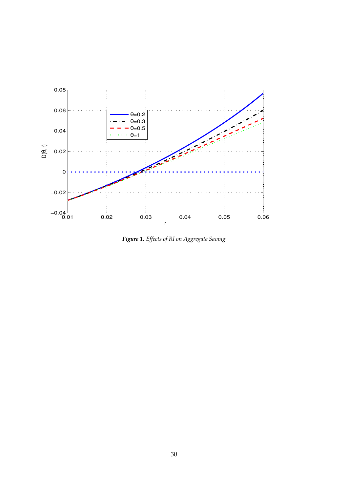

*Figure 1. Effects of RI on Aggregate Saving*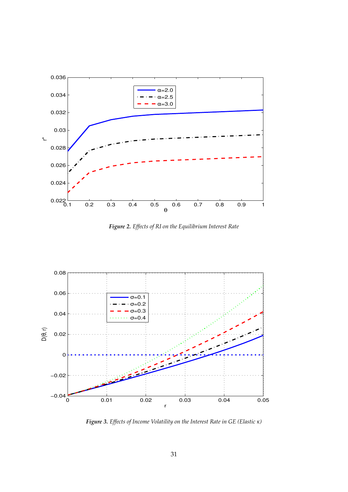

*Figure 2. Effects of RI on the Equilibrium Interest Rate*



*Figure 3. Effects of Income Volatility on the Interest Rate in GE (Elastic κ)*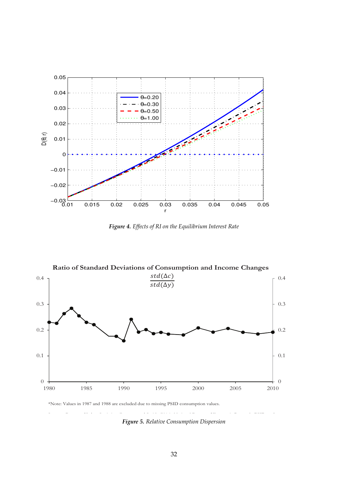

*Figure 4. Effects of RI on the Equilibrium Interest Rate*



\*Note: Values in 1987 and 1988 are excluded due to missing PSID consumption values.

*Figure 5. Relative Consumption Dispersion*